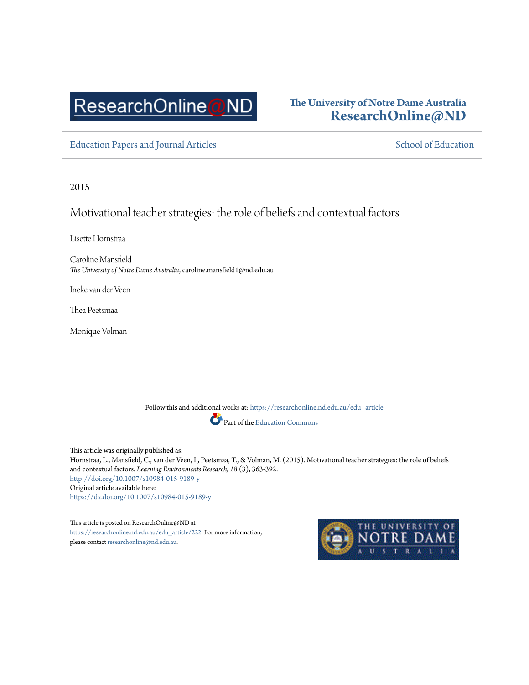# ResearchOnline@ND

## **The University of Notre Dame Australia [ResearchOnline@ND](https://researchonline.nd.edu.au?utm_source=researchonline.nd.edu.au%2Fedu_article%2F222&utm_medium=PDF&utm_campaign=PDFCoverPages)**

[Education Papers and Journal Articles](https://researchonline.nd.edu.au/edu_article?utm_source=researchonline.nd.edu.au%2Fedu_article%2F222&utm_medium=PDF&utm_campaign=PDFCoverPages) [School of Education](https://researchonline.nd.edu.au/edu?utm_source=researchonline.nd.edu.au%2Fedu_article%2F222&utm_medium=PDF&utm_campaign=PDFCoverPages) School of Education

2015

## Motivational teacher strategies: the role of beliefs and contextual factors

Lisette Hornstraa

Caroline Mansfield *The University of Notre Dame Australia*, caroline.mansfield1@nd.edu.au

Ineke van der Veen

Thea Peetsmaa

Monique Volman

Follow this and additional works at: [https://researchonline.nd.edu.au/edu\\_article](https://researchonline.nd.edu.au/edu_article?utm_source=researchonline.nd.edu.au%2Fedu_article%2F222&utm_medium=PDF&utm_campaign=PDFCoverPages) Part of the [Education Commons](http://network.bepress.com/hgg/discipline/784?utm_source=researchonline.nd.edu.au%2Fedu_article%2F222&utm_medium=PDF&utm_campaign=PDFCoverPages)

This article was originally published as: Hornstraa, L., Mansfield, C., van der Veen, I., Peetsmaa, T., & Volman, M. (2015). Motivational teacher strategies: the role of beliefs and contextual factors. *Learning Environments Research, 18* (3), 363-392. <http://doi.org/10.1007/s10984-015-9189-y> Original article available here: <https://dx.doi.org/10.1007/s10984-015-9189-y>

This article is posted on ResearchOnline@ND at [https://researchonline.nd.edu.au/edu\\_article/222](https://researchonline.nd.edu.au/edu_article/222). For more information, please contact [researchonline@nd.edu.au](mailto:researchonline@nd.edu.au).

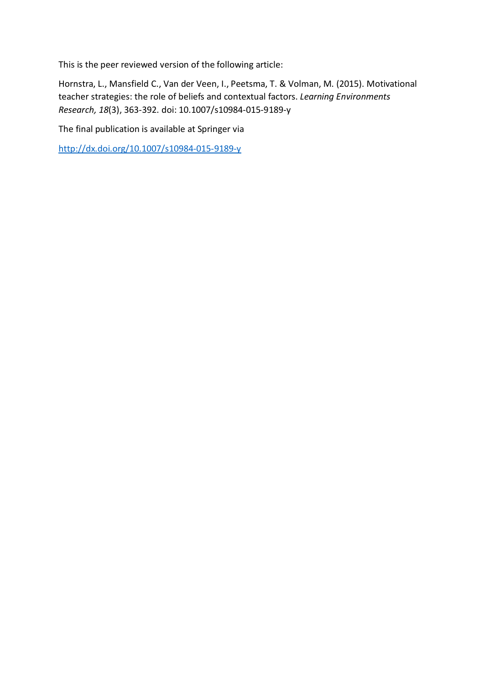This is the peer reviewed version of the following article:

Hornstra, L., Mansfield C., Van der Veen, I., Peetsma, T. & Volman, M. (2015). Motivational teacher strategies: the role of beliefs and contextual factors. *Learning Environments Research, 18*(3), 363-392. doi: 10.1007/s10984-015-9189-y

The final publication is available at Springer via

<http://dx.doi.org/10.1007/s10984-015-9189-y>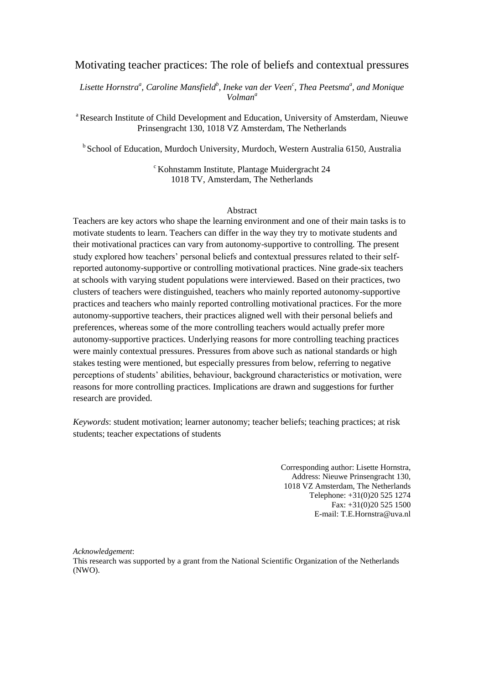#### Motivating teacher practices: The role of beliefs and contextual pressures

*Lisette Hornstra<sup>a</sup> , Caroline Mansfield<sup>b</sup> , Ineke van der Veen<sup>c</sup> , Thea Peetsma<sup>a</sup> , and Monique Volman<sup>a</sup>*

<sup>a</sup> Research Institute of Child Development and Education, University of Amsterdam, Nieuwe Prinsengracht 130, 1018 VZ Amsterdam, The Netherlands

<sup>b</sup> School of Education, Murdoch University, Murdoch, Western Australia 6150, Australia

<sup>c</sup> Kohnstamm Institute, Plantage Muidergracht 24 1018 TV, Amsterdam, The Netherlands

#### Abstract

Teachers are key actors who shape the learning environment and one of their main tasks is to motivate students to learn. Teachers can differ in the way they try to motivate students and their motivational practices can vary from autonomy-supportive to controlling. The present study explored how teachers' personal beliefs and contextual pressures related to their selfreported autonomy-supportive or controlling motivational practices. Nine grade-six teachers at schools with varying student populations were interviewed. Based on their practices, two clusters of teachers were distinguished, teachers who mainly reported autonomy-supportive practices and teachers who mainly reported controlling motivational practices. For the more autonomy-supportive teachers, their practices aligned well with their personal beliefs and preferences, whereas some of the more controlling teachers would actually prefer more autonomy-supportive practices. Underlying reasons for more controlling teaching practices were mainly contextual pressures. Pressures from above such as national standards or high stakes testing were mentioned, but especially pressures from below, referring to negative perceptions of students' abilities, behaviour, background characteristics or motivation, were reasons for more controlling practices. Implications are drawn and suggestions for further research are provided.

*Keywords*: student motivation; learner autonomy; teacher beliefs; teaching practices; at risk students; teacher expectations of students

> Corresponding author: Lisette Hornstra, Address: Nieuwe Prinsengracht 130, 1018 VZ Amsterdam, The Netherlands Telephone: +31(0)20 525 1274 Fax: +31(0)20 525 1500 E-mail: T.E.Hornstra@uva.nl

*Acknowledgement*:

This research was supported by a grant from the National Scientific Organization of the Netherlands (NWO).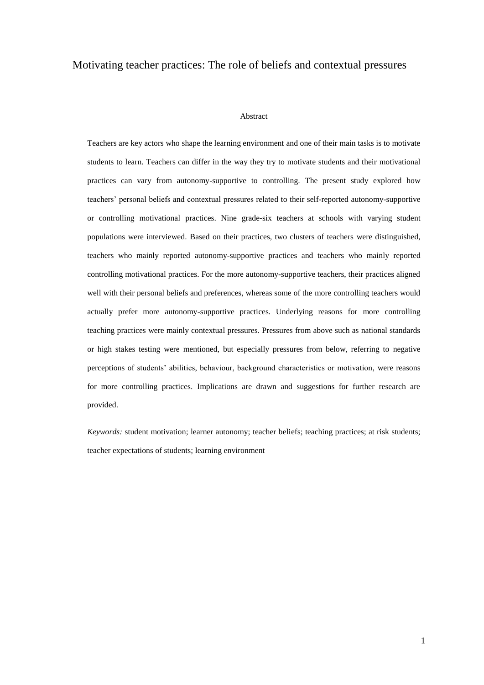#### Motivating teacher practices: The role of beliefs and contextual pressures

#### Abstract

Teachers are key actors who shape the learning environment and one of their main tasks is to motivate students to learn. Teachers can differ in the way they try to motivate students and their motivational practices can vary from autonomy-supportive to controlling. The present study explored how teachers' personal beliefs and contextual pressures related to their self-reported autonomy-supportive or controlling motivational practices. Nine grade-six teachers at schools with varying student populations were interviewed. Based on their practices, two clusters of teachers were distinguished, teachers who mainly reported autonomy-supportive practices and teachers who mainly reported controlling motivational practices. For the more autonomy-supportive teachers, their practices aligned well with their personal beliefs and preferences, whereas some of the more controlling teachers would actually prefer more autonomy-supportive practices. Underlying reasons for more controlling teaching practices were mainly contextual pressures. Pressures from above such as national standards or high stakes testing were mentioned, but especially pressures from below, referring to negative perceptions of students' abilities, behaviour, background characteristics or motivation, were reasons for more controlling practices. Implications are drawn and suggestions for further research are provided.

*Keywords:* student motivation; learner autonomy; teacher beliefs; teaching practices; at risk students; teacher expectations of students; learning environment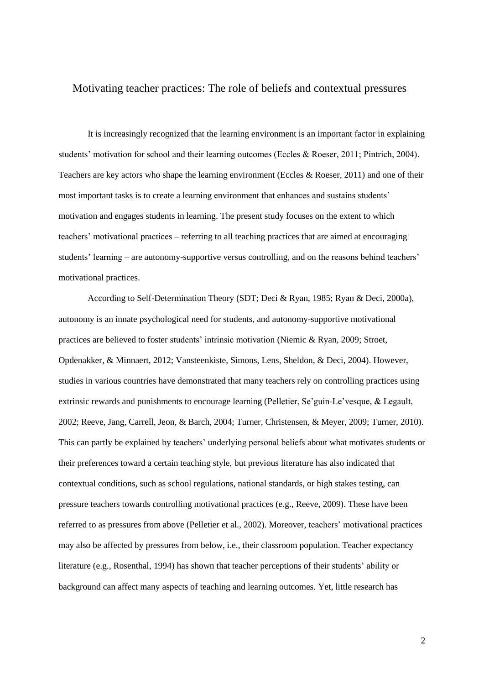#### Motivating teacher practices: The role of beliefs and contextual pressures

It is increasingly recognized that the learning environment is an important factor in explaining students' motivation for school and their learning outcomes (Eccles & Roeser, 2011; Pintrich, 2004). Teachers are key actors who shape the learning environment (Eccles & Roeser, 2011) and one of their most important tasks is to create a learning environment that enhances and sustains students' motivation and engages students in learning. The present study focuses on the extent to which teachers' motivational practices – referring to all teaching practices that are aimed at encouraging students' learning – are autonomy-supportive versus controlling, and on the reasons behind teachers' motivational practices.

According to Self-Determination Theory (SDT; Deci & Ryan, 1985; Ryan & Deci, 2000a), autonomy is an innate psychological need for students, and autonomy-supportive motivational practices are believed to foster students' intrinsic motivation (Niemic & Ryan, 2009; Stroet, Opdenakker, & Minnaert, 2012; Vansteenkiste, Simons, Lens, Sheldon, & Deci, 2004). However, studies in various countries have demonstrated that many teachers rely on controlling practices using extrinsic rewards and punishments to encourage learning (Pelletier, Se'guin-Le'vesque, & Legault, 2002; Reeve, Jang, Carrell, Jeon, & Barch, 2004; Turner, Christensen, & Meyer, 2009; Turner, 2010). This can partly be explained by teachers' underlying personal beliefs about what motivates students or their preferences toward a certain teaching style, but previous literature has also indicated that contextual conditions, such as school regulations, national standards, or high stakes testing, can pressure teachers towards controlling motivational practices (e.g., Reeve, 2009). These have been referred to as pressures from above (Pelletier et al., 2002). Moreover, teachers' motivational practices may also be affected by pressures from below, i.e., their classroom population. Teacher expectancy literature (e.g., Rosenthal, 1994) has shown that teacher perceptions of their students' ability or background can affect many aspects of teaching and learning outcomes. Yet, little research has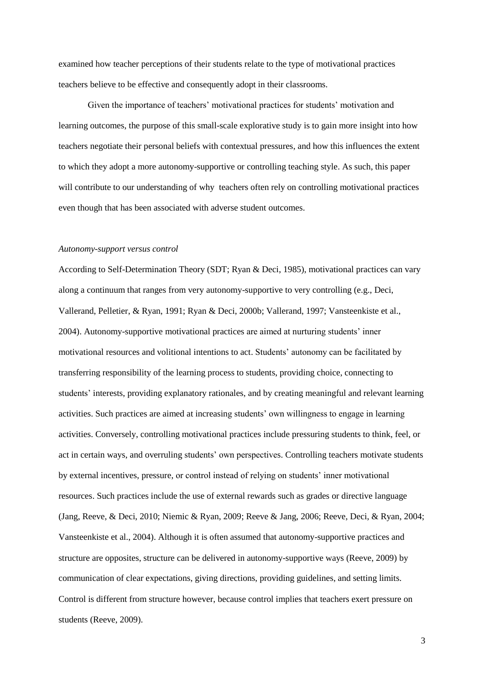examined how teacher perceptions of their students relate to the type of motivational practices teachers believe to be effective and consequently adopt in their classrooms.

Given the importance of teachers' motivational practices for students' motivation and learning outcomes, the purpose of this small-scale explorative study is to gain more insight into how teachers negotiate their personal beliefs with contextual pressures, and how this influences the extent to which they adopt a more autonomy-supportive or controlling teaching style. As such, this paper will contribute to our understanding of why teachers often rely on controlling motivational practices even though that has been associated with adverse student outcomes.

#### *Autonomy-support versus control*

According to Self-Determination Theory (SDT; Ryan & Deci, 1985), motivational practices can vary along a continuum that ranges from very autonomy-supportive to very controlling (e.g., Deci, Vallerand, Pelletier, & Ryan, 1991; Ryan & Deci, 2000b; Vallerand, 1997; Vansteenkiste et al., 2004). Autonomy-supportive motivational practices are aimed at nurturing students' inner motivational resources and volitional intentions to act. Students' autonomy can be facilitated by transferring responsibility of the learning process to students, providing choice, connecting to students' interests, providing explanatory rationales, and by creating meaningful and relevant learning activities. Such practices are aimed at increasing students' own willingness to engage in learning activities. Conversely, controlling motivational practices include pressuring students to think, feel, or act in certain ways, and overruling students' own perspectives. Controlling teachers motivate students by external incentives, pressure, or control instead of relying on students' inner motivational resources. Such practices include the use of external rewards such as grades or directive language (Jang, Reeve, & Deci, 2010; Niemic & Ryan, 2009; Reeve & Jang, 2006; Reeve, Deci, & Ryan, 2004; Vansteenkiste et al., 2004). Although it is often assumed that autonomy-supportive practices and structure are opposites, structure can be delivered in autonomy-supportive ways (Reeve, 2009) by communication of clear expectations, giving directions, providing guidelines, and setting limits. Control is different from structure however, because control implies that teachers exert pressure on students (Reeve, 2009).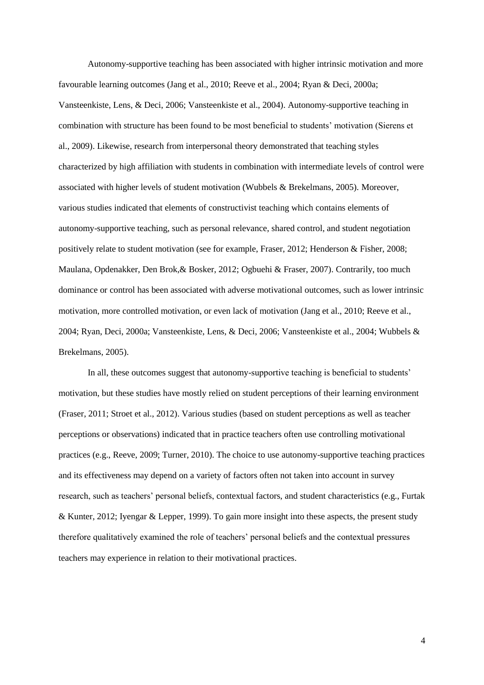Autonomy-supportive teaching has been associated with higher intrinsic motivation and more favourable learning outcomes (Jang et al., 2010; Reeve et al., 2004; Ryan & Deci, 2000a; Vansteenkiste, Lens, & Deci, 2006; Vansteenkiste et al., 2004). Autonomy-supportive teaching in combination with structure has been found to be most beneficial to students' motivation (Sierens et al., 2009). Likewise, research from interpersonal theory demonstrated that teaching styles characterized by high affiliation with students in combination with intermediate levels of control were associated with higher levels of student motivation (Wubbels & Brekelmans, 2005). Moreover, various studies indicated that elements of constructivist teaching which contains elements of autonomy-supportive teaching, such as personal relevance, shared control, and student negotiation positively relate to student motivation (see for example, Fraser, 2012; Henderson & Fisher, 2008; Maulana, Opdenakker, Den Brok,& Bosker, 2012; Ogbuehi & Fraser, 2007). Contrarily, too much dominance or control has been associated with adverse motivational outcomes, such as lower intrinsic motivation, more controlled motivation, or even lack of motivation (Jang et al., 2010; Reeve et al., 2004; Ryan, Deci, 2000a; Vansteenkiste, Lens, & Deci, 2006; Vansteenkiste et al., 2004; Wubbels & Brekelmans, 2005).

In all, these outcomes suggest that autonomy-supportive teaching is beneficial to students' motivation, but these studies have mostly relied on student perceptions of their learning environment (Fraser, 2011; Stroet et al., 2012). Various studies (based on student perceptions as well as teacher perceptions or observations) indicated that in practice teachers often use controlling motivational practices (e.g., Reeve, 2009; Turner, 2010). The choice to use autonomy-supportive teaching practices and its effectiveness may depend on a variety of factors often not taken into account in survey research, such as teachers' personal beliefs, contextual factors, and student characteristics (e.g., Furtak & Kunter, 2012; Iyengar & Lepper, 1999). To gain more insight into these aspects, the present study therefore qualitatively examined the role of teachers' personal beliefs and the contextual pressures teachers may experience in relation to their motivational practices.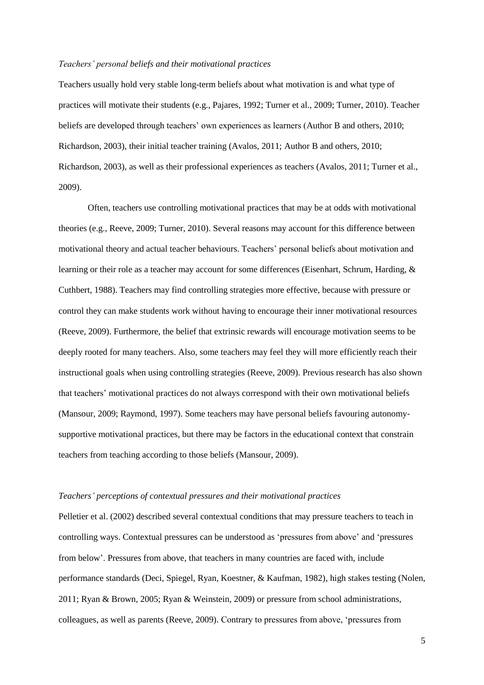#### *Teachers' personal beliefs and their motivational practices*

Teachers usually hold very stable long-term beliefs about what motivation is and what type of practices will motivate their students (e.g., Pajares, 1992; Turner et al., 2009; Turner, 2010). Teacher beliefs are developed through teachers' own experiences as learners (Author B and others, 2010; Richardson, 2003), their initial teacher training (Avalos, 2011; Author B and others, 2010; Richardson, 2003), as well as their professional experiences as teachers (Avalos, 2011; Turner et al., 2009).

Often, teachers use controlling motivational practices that may be at odds with motivational theories (e.g., Reeve, 2009; Turner, 2010). Several reasons may account for this difference between motivational theory and actual teacher behaviours. Teachers' personal beliefs about motivation and learning or their role as a teacher may account for some differences (Eisenhart, Schrum, Harding, & Cuthbert, 1988). Teachers may find controlling strategies more effective, because with pressure or control they can make students work without having to encourage their inner motivational resources (Reeve, 2009). Furthermore, the belief that extrinsic rewards will encourage motivation seems to be deeply rooted for many teachers. Also, some teachers may feel they will more efficiently reach their instructional goals when using controlling strategies (Reeve, 2009). Previous research has also shown that teachers' motivational practices do not always correspond with their own motivational beliefs (Mansour, 2009; Raymond, 1997). Some teachers may have personal beliefs favouring autonomysupportive motivational practices, but there may be factors in the educational context that constrain teachers from teaching according to those beliefs (Mansour, 2009).

#### *Teachers' perceptions of contextual pressures and their motivational practices*

Pelletier et al. (2002) described several contextual conditions that may pressure teachers to teach in controlling ways. Contextual pressures can be understood as 'pressures from above' and 'pressures from below'. Pressures from above, that teachers in many countries are faced with, include performance standards (Deci, Spiegel, Ryan, Koestner, & Kaufman, 1982), high stakes testing (Nolen, 2011; Ryan & Brown, 2005; Ryan & Weinstein, 2009) or pressure from school administrations, colleagues, as well as parents (Reeve, 2009). Contrary to pressures from above, 'pressures from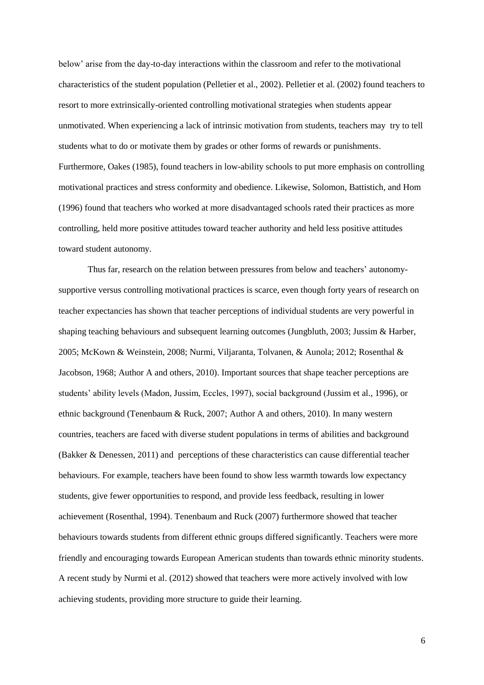below' arise from the day-to-day interactions within the classroom and refer to the motivational characteristics of the student population (Pelletier et al., 2002). Pelletier et al. (2002) found teachers to resort to more extrinsically-oriented controlling motivational strategies when students appear unmotivated. When experiencing a lack of intrinsic motivation from students, teachers may try to tell students what to do or motivate them by grades or other forms of rewards or punishments. Furthermore, Oakes (1985), found teachers in low-ability schools to put more emphasis on controlling motivational practices and stress conformity and obedience. Likewise, Solomon, Battistich, and Hom (1996) found that teachers who worked at more disadvantaged schools rated their practices as more controlling, held more positive attitudes toward teacher authority and held less positive attitudes toward student autonomy.

Thus far, research on the relation between pressures from below and teachers' autonomysupportive versus controlling motivational practices is scarce, even though forty years of research on teacher expectancies has shown that teacher perceptions of individual students are very powerful in shaping teaching behaviours and subsequent learning outcomes (Jungbluth, 2003; Jussim & Harber, 2005; McKown & Weinstein, 2008; Nurmi, Viljaranta, Tolvanen, & Aunola; 2012; Rosenthal & Jacobson, 1968; Author A and others, 2010). Important sources that shape teacher perceptions are students' ability levels (Madon, Jussim, Eccles, 1997), social background (Jussim et al., 1996), or ethnic background (Tenenbaum & Ruck, 2007; Author A and others, 2010). In many western countries, teachers are faced with diverse student populations in terms of abilities and background (Bakker & Denessen, 2011) and perceptions of these characteristics can cause differential teacher behaviours. For example, teachers have been found to show less warmth towards low expectancy students, give fewer opportunities to respond, and provide less feedback, resulting in lower achievement (Rosenthal, 1994). Tenenbaum and Ruck (2007) furthermore showed that teacher behaviours towards students from different ethnic groups differed significantly. Teachers were more friendly and encouraging towards European American students than towards ethnic minority students. A recent study by Nurmi et al. (2012) showed that teachers were more actively involved with low achieving students, providing more structure to guide their learning.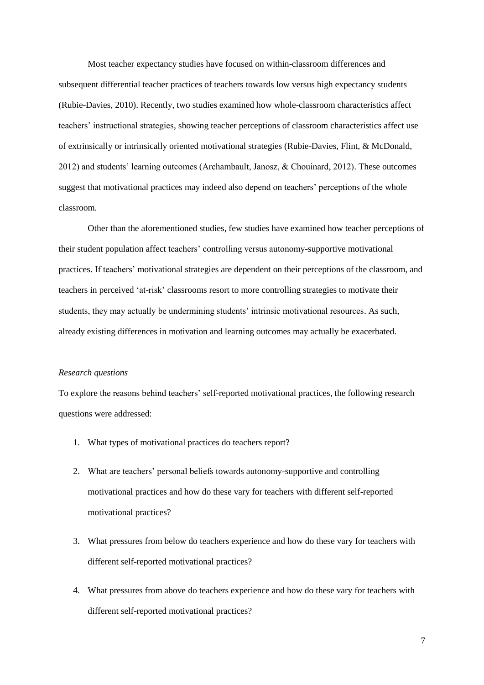Most teacher expectancy studies have focused on within-classroom differences and subsequent differential teacher practices of teachers towards low versus high expectancy students (Rubie-Davies, 2010). Recently, two studies examined how whole-classroom characteristics affect teachers' instructional strategies, showing teacher perceptions of classroom characteristics affect use of extrinsically or intrinsically oriented motivational strategies (Rubie-Davies, Flint, & McDonald, 2012) and students' learning outcomes (Archambault, Janosz, & Chouinard, 2012). These outcomes suggest that motivational practices may indeed also depend on teachers' perceptions of the whole classroom.

Other than the aforementioned studies, few studies have examined how teacher perceptions of their student population affect teachers' controlling versus autonomy-supportive motivational practices. If teachers' motivational strategies are dependent on their perceptions of the classroom, and teachers in perceived 'at-risk' classrooms resort to more controlling strategies to motivate their students, they may actually be undermining students' intrinsic motivational resources. As such, already existing differences in motivation and learning outcomes may actually be exacerbated.

#### *Research questions*

To explore the reasons behind teachers' self-reported motivational practices, the following research questions were addressed:

- 1. What types of motivational practices do teachers report?
- 2. What are teachers' personal beliefs towards autonomy-supportive and controlling motivational practices and how do these vary for teachers with different self-reported motivational practices?
- 3. What pressures from below do teachers experience and how do these vary for teachers with different self-reported motivational practices?
- 4. What pressures from above do teachers experience and how do these vary for teachers with different self-reported motivational practices?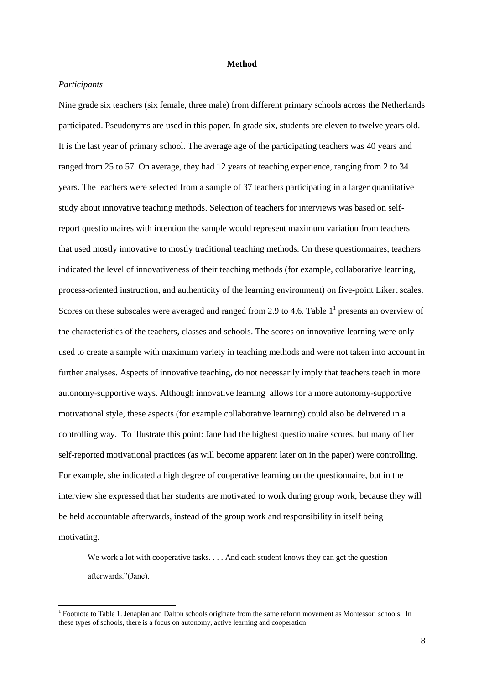#### **Method**

#### *Participants*

Nine grade six teachers (six female, three male) from different primary schools across the Netherlands participated. Pseudonyms are used in this paper. In grade six, students are eleven to twelve years old. It is the last year of primary school. The average age of the participating teachers was 40 years and ranged from 25 to 57. On average, they had 12 years of teaching experience, ranging from 2 to 34 years. The teachers were selected from a sample of 37 teachers participating in a larger quantitative study about innovative teaching methods. Selection of teachers for interviews was based on selfreport questionnaires with intention the sample would represent maximum variation from teachers that used mostly innovative to mostly traditional teaching methods. On these questionnaires, teachers indicated the level of innovativeness of their teaching methods (for example, collaborative learning, process-oriented instruction, and authenticity of the learning environment) on five-point Likert scales. Scores on these subscales were averaged and ranged from 2.9 to 4.6. Table  $1^1$  presents an overview of the characteristics of the teachers, classes and schools. The scores on innovative learning were only used to create a sample with maximum variety in teaching methods and were not taken into account in further analyses. Aspects of innovative teaching, do not necessarily imply that teachers teach in more autonomy-supportive ways. Although innovative learning allows for a more autonomy-supportive motivational style, these aspects (for example collaborative learning) could also be delivered in a controlling way. To illustrate this point: Jane had the highest questionnaire scores, but many of her self-reported motivational practices (as will become apparent later on in the paper) were controlling. For example, she indicated a high degree of cooperative learning on the questionnaire, but in the interview she expressed that her students are motivated to work during group work, because they will be held accountable afterwards, instead of the group work and responsibility in itself being motivating.

We work a lot with cooperative tasks. . . . And each student knows they can get the question afterwards."(Jane).

<sup>&</sup>lt;sup>1</sup> Footnote to Table 1. Jenaplan and Dalton schools originate from the same reform movement as Montessori schools. In these types of schools, there is a focus on autonomy, active learning and cooperation.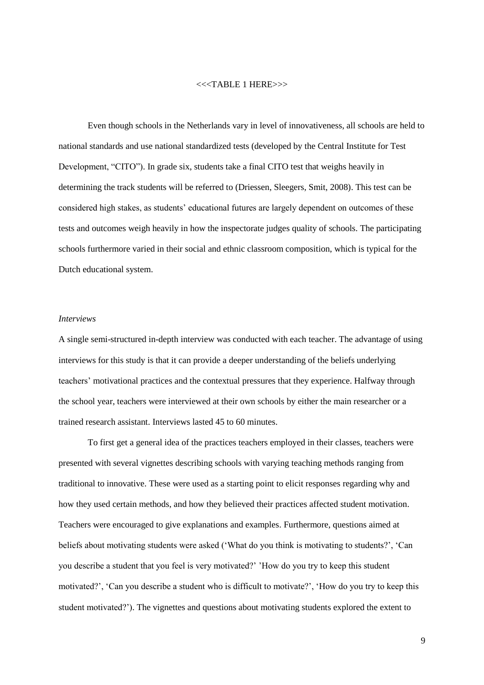#### <<<TABLE 1 HERE>>>

Even though schools in the Netherlands vary in level of innovativeness, all schools are held to national standards and use national standardized tests (developed by the Central Institute for Test Development, "CITO"). In grade six, students take a final CITO test that weighs heavily in determining the track students will be referred to (Driessen, Sleegers, Smit, 2008). This test can be considered high stakes, as students' educational futures are largely dependent on outcomes of these tests and outcomes weigh heavily in how the inspectorate judges quality of schools. The participating schools furthermore varied in their social and ethnic classroom composition, which is typical for the Dutch educational system.

#### *Interviews*

A single semi-structured in-depth interview was conducted with each teacher. The advantage of using interviews for this study is that it can provide a deeper understanding of the beliefs underlying teachers' motivational practices and the contextual pressures that they experience. Halfway through the school year, teachers were interviewed at their own schools by either the main researcher or a trained research assistant. Interviews lasted 45 to 60 minutes.

To first get a general idea of the practices teachers employed in their classes, teachers were presented with several vignettes describing schools with varying teaching methods ranging from traditional to innovative. These were used as a starting point to elicit responses regarding why and how they used certain methods, and how they believed their practices affected student motivation. Teachers were encouraged to give explanations and examples. Furthermore, questions aimed at beliefs about motivating students were asked ('What do you think is motivating to students?', 'Can you describe a student that you feel is very motivated?' 'How do you try to keep this student motivated?', 'Can you describe a student who is difficult to motivate?', 'How do you try to keep this student motivated?'). The vignettes and questions about motivating students explored the extent to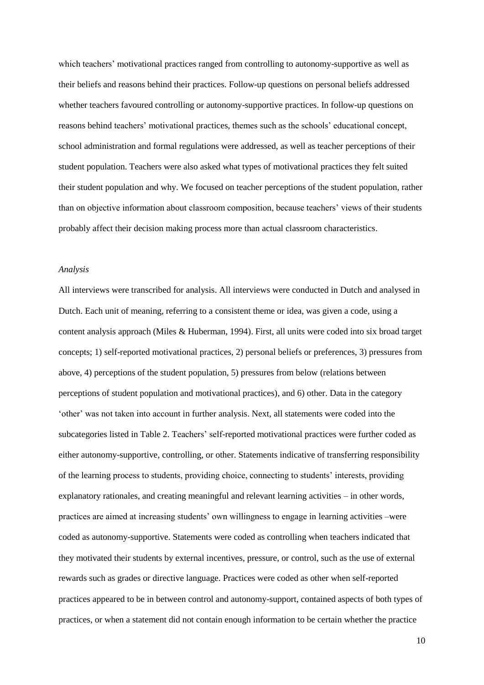which teachers' motivational practices ranged from controlling to autonomy-supportive as well as their beliefs and reasons behind their practices. Follow-up questions on personal beliefs addressed whether teachers favoured controlling or autonomy-supportive practices. In follow-up questions on reasons behind teachers' motivational practices, themes such as the schools' educational concept, school administration and formal regulations were addressed, as well as teacher perceptions of their student population. Teachers were also asked what types of motivational practices they felt suited their student population and why. We focused on teacher perceptions of the student population, rather than on objective information about classroom composition, because teachers' views of their students probably affect their decision making process more than actual classroom characteristics.

#### *Analysis*

All interviews were transcribed for analysis. All interviews were conducted in Dutch and analysed in Dutch. Each unit of meaning, referring to a consistent theme or idea, was given a code, using a content analysis approach (Miles & Huberman, 1994). First, all units were coded into six broad target concepts; 1) self-reported motivational practices, 2) personal beliefs or preferences, 3) pressures from above, 4) perceptions of the student population, 5) pressures from below (relations between perceptions of student population and motivational practices), and 6) other. Data in the category 'other' was not taken into account in further analysis. Next, all statements were coded into the subcategories listed in Table 2. Teachers' self-reported motivational practices were further coded as either autonomy-supportive, controlling, or other. Statements indicative of transferring responsibility of the learning process to students, providing choice, connecting to students' interests, providing explanatory rationales, and creating meaningful and relevant learning activities – in other words, practices are aimed at increasing students' own willingness to engage in learning activities –were coded as autonomy-supportive. Statements were coded as controlling when teachers indicated that they motivated their students by external incentives, pressure, or control, such as the use of external rewards such as grades or directive language. Practices were coded as other when self-reported practices appeared to be in between control and autonomy-support, contained aspects of both types of practices, or when a statement did not contain enough information to be certain whether the practice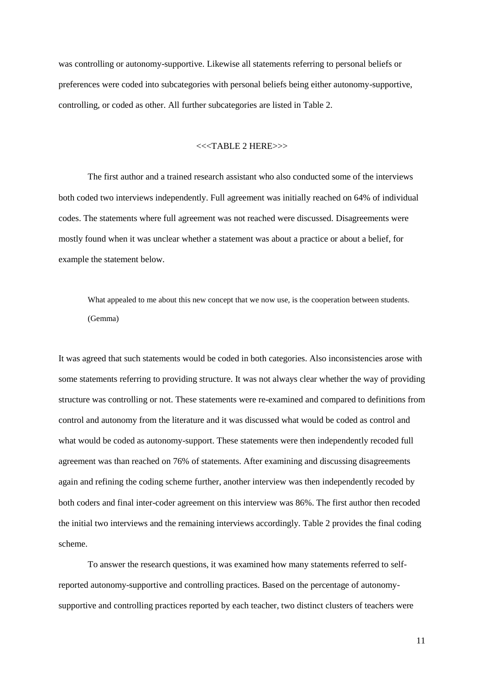was controlling or autonomy-supportive. Likewise all statements referring to personal beliefs or preferences were coded into subcategories with personal beliefs being either autonomy-supportive, controlling, or coded as other. All further subcategories are listed in Table 2.

#### <<<TABLE 2 HERE>>>

The first author and a trained research assistant who also conducted some of the interviews both coded two interviews independently. Full agreement was initially reached on 64% of individual codes. The statements where full agreement was not reached were discussed. Disagreements were mostly found when it was unclear whether a statement was about a practice or about a belief, for example the statement below.

What appealed to me about this new concept that we now use, is the cooperation between students. (Gemma)

It was agreed that such statements would be coded in both categories. Also inconsistencies arose with some statements referring to providing structure. It was not always clear whether the way of providing structure was controlling or not. These statements were re-examined and compared to definitions from control and autonomy from the literature and it was discussed what would be coded as control and what would be coded as autonomy-support. These statements were then independently recoded full agreement was than reached on 76% of statements. After examining and discussing disagreements again and refining the coding scheme further, another interview was then independently recoded by both coders and final inter-coder agreement on this interview was 86%. The first author then recoded the initial two interviews and the remaining interviews accordingly. Table 2 provides the final coding scheme.

To answer the research questions, it was examined how many statements referred to selfreported autonomy-supportive and controlling practices. Based on the percentage of autonomysupportive and controlling practices reported by each teacher, two distinct clusters of teachers were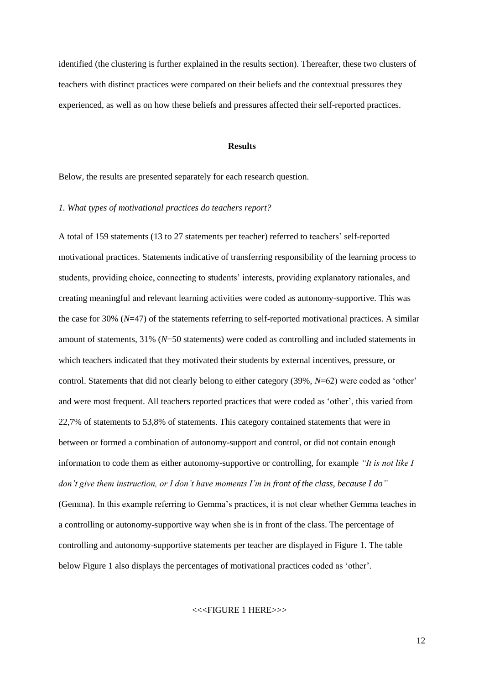identified (the clustering is further explained in the results section). Thereafter, these two clusters of teachers with distinct practices were compared on their beliefs and the contextual pressures they experienced, as well as on how these beliefs and pressures affected their self-reported practices.

#### **Results**

Below, the results are presented separately for each research question.

#### *1. What types of motivational practices do teachers report?*

A total of 159 statements (13 to 27 statements per teacher) referred to teachers' self-reported motivational practices. Statements indicative of transferring responsibility of the learning process to students, providing choice, connecting to students' interests, providing explanatory rationales, and creating meaningful and relevant learning activities were coded as autonomy-supportive. This was the case for 30% (*N*=47) of the statements referring to self-reported motivational practices. A similar amount of statements, 31% (*N*=50 statements) were coded as controlling and included statements in which teachers indicated that they motivated their students by external incentives, pressure, or control. Statements that did not clearly belong to either category (39%, *N*=62) were coded as 'other' and were most frequent. All teachers reported practices that were coded as 'other', this varied from 22,7% of statements to 53,8% of statements. This category contained statements that were in between or formed a combination of autonomy-support and control, or did not contain enough information to code them as either autonomy-supportive or controlling, for example *"It is not like I don't give them instruction, or I don't have moments I'm in front of the class, because I do"* (Gemma). In this example referring to Gemma's practices, it is not clear whether Gemma teaches in a controlling or autonomy-supportive way when she is in front of the class. The percentage of controlling and autonomy-supportive statements per teacher are displayed in Figure 1. The table below Figure 1 also displays the percentages of motivational practices coded as 'other'.

#### <<<FIGURE 1 HERE>>>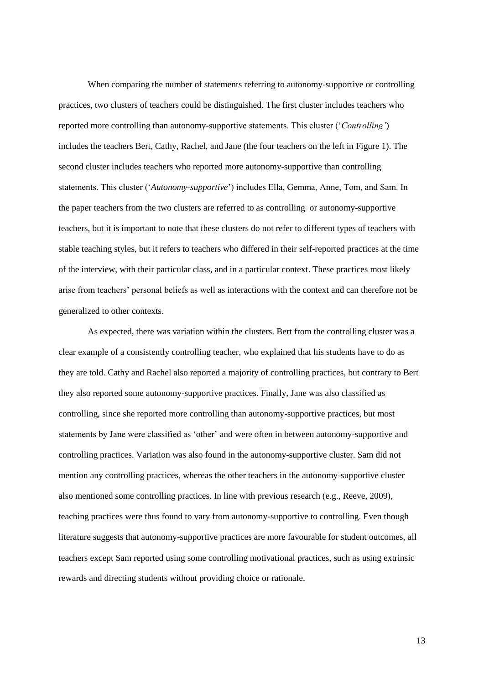When comparing the number of statements referring to autonomy-supportive or controlling practices, two clusters of teachers could be distinguished. The first cluster includes teachers who reported more controlling than autonomy-supportive statements. This cluster ('*Controlling'*) includes the teachers Bert, Cathy, Rachel, and Jane (the four teachers on the left in Figure 1). The second cluster includes teachers who reported more autonomy-supportive than controlling statements. This cluster ('*Autonomy-supportive*') includes Ella, Gemma, Anne, Tom, and Sam. In the paper teachers from the two clusters are referred to as controlling or autonomy-supportive teachers, but it is important to note that these clusters do not refer to different types of teachers with stable teaching styles, but it refers to teachers who differed in their self-reported practices at the time of the interview, with their particular class, and in a particular context. These practices most likely arise from teachers' personal beliefs as well as interactions with the context and can therefore not be generalized to other contexts.

As expected, there was variation within the clusters. Bert from the controlling cluster was a clear example of a consistently controlling teacher, who explained that his students have to do as they are told. Cathy and Rachel also reported a majority of controlling practices, but contrary to Bert they also reported some autonomy-supportive practices. Finally, Jane was also classified as controlling, since she reported more controlling than autonomy-supportive practices, but most statements by Jane were classified as 'other' and were often in between autonomy-supportive and controlling practices. Variation was also found in the autonomy-supportive cluster. Sam did not mention any controlling practices, whereas the other teachers in the autonomy-supportive cluster also mentioned some controlling practices. In line with previous research (e.g., Reeve, 2009), teaching practices were thus found to vary from autonomy-supportive to controlling. Even though literature suggests that autonomy-supportive practices are more favourable for student outcomes, all teachers except Sam reported using some controlling motivational practices, such as using extrinsic rewards and directing students without providing choice or rationale.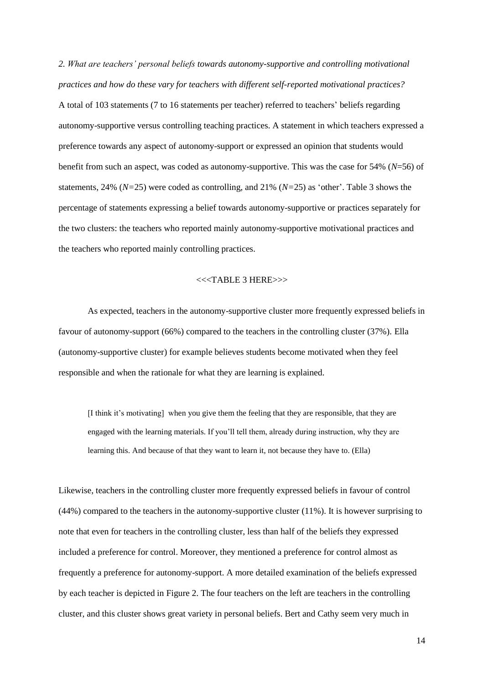*2. What are teachers' personal beliefs towards autonomy-supportive and controlling motivational practices and how do these vary for teachers with different self-reported motivational practices?*  A total of 103 statements (7 to 16 statements per teacher) referred to teachers' beliefs regarding autonomy-supportive versus controlling teaching practices. A statement in which teachers expressed a preference towards any aspect of autonomy-support or expressed an opinion that students would benefit from such an aspect, was coded as autonomy-supportive. This was the case for 54% (*N*=56) of statements, 24% (*N=*25) were coded as controlling, and 21% (*N=*25) as 'other'. Table 3 shows the percentage of statements expressing a belief towards autonomy-supportive or practices separately for the two clusters: the teachers who reported mainly autonomy-supportive motivational practices and the teachers who reported mainly controlling practices.

#### <<<TABLE 3 HERE>>>

As expected, teachers in the autonomy-supportive cluster more frequently expressed beliefs in favour of autonomy-support (66%) compared to the teachers in the controlling cluster (37%). Ella (autonomy-supportive cluster) for example believes students become motivated when they feel responsible and when the rationale for what they are learning is explained.

[I think it's motivating] when you give them the feeling that they are responsible, that they are engaged with the learning materials. If you'll tell them, already during instruction, why they are learning this. And because of that they want to learn it, not because they have to. (Ella)

Likewise, teachers in the controlling cluster more frequently expressed beliefs in favour of control (44%) compared to the teachers in the autonomy-supportive cluster (11%). It is however surprising to note that even for teachers in the controlling cluster, less than half of the beliefs they expressed included a preference for control. Moreover, they mentioned a preference for control almost as frequently a preference for autonomy-support. A more detailed examination of the beliefs expressed by each teacher is depicted in Figure 2. The four teachers on the left are teachers in the controlling cluster, and this cluster shows great variety in personal beliefs. Bert and Cathy seem very much in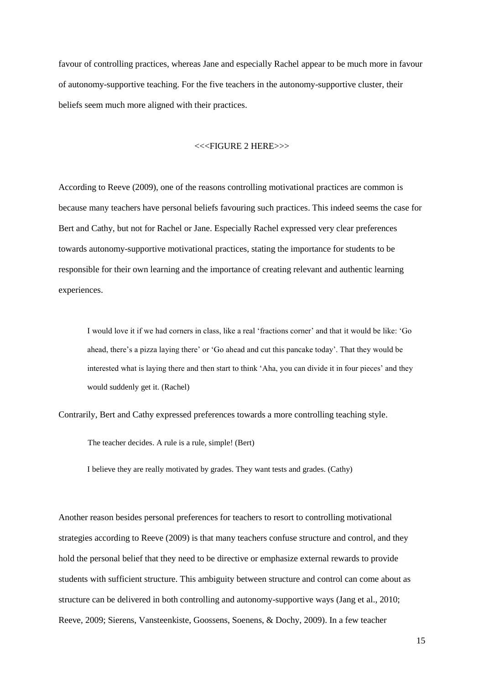favour of controlling practices, whereas Jane and especially Rachel appear to be much more in favour of autonomy-supportive teaching. For the five teachers in the autonomy-supportive cluster, their beliefs seem much more aligned with their practices.

#### <<<FIGURE 2 HERE>>>

According to Reeve (2009), one of the reasons controlling motivational practices are common is because many teachers have personal beliefs favouring such practices. This indeed seems the case for Bert and Cathy, but not for Rachel or Jane. Especially Rachel expressed very clear preferences towards autonomy-supportive motivational practices, stating the importance for students to be responsible for their own learning and the importance of creating relevant and authentic learning experiences.

I would love it if we had corners in class, like a real 'fractions corner' and that it would be like: 'Go ahead, there's a pizza laying there' or 'Go ahead and cut this pancake today'. That they would be interested what is laying there and then start to think 'Aha, you can divide it in four pieces' and they would suddenly get it. (Rachel)

Contrarily, Bert and Cathy expressed preferences towards a more controlling teaching style.

The teacher decides. A rule is a rule, simple! (Bert)

I believe they are really motivated by grades. They want tests and grades. (Cathy)

Another reason besides personal preferences for teachers to resort to controlling motivational strategies according to Reeve (2009) is that many teachers confuse structure and control, and they hold the personal belief that they need to be directive or emphasize external rewards to provide students with sufficient structure. This ambiguity between structure and control can come about as structure can be delivered in both controlling and autonomy-supportive ways (Jang et al., 2010; Reeve, 2009; Sierens, Vansteenkiste, Goossens, Soenens, & Dochy, 2009). In a few teacher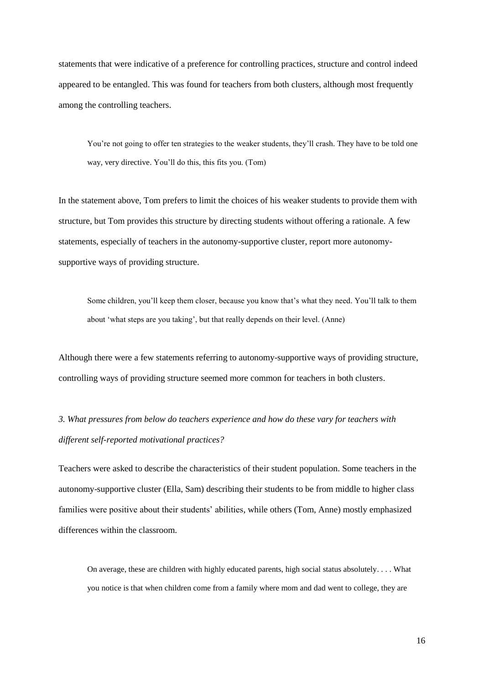statements that were indicative of a preference for controlling practices, structure and control indeed appeared to be entangled. This was found for teachers from both clusters, although most frequently among the controlling teachers.

You're not going to offer ten strategies to the weaker students, they'll crash. They have to be told one way, very directive. You'll do this, this fits you. (Tom)

In the statement above, Tom prefers to limit the choices of his weaker students to provide them with structure, but Tom provides this structure by directing students without offering a rationale. A few statements, especially of teachers in the autonomy-supportive cluster, report more autonomysupportive ways of providing structure.

Some children, you'll keep them closer, because you know that's what they need. You'll talk to them about 'what steps are you taking', but that really depends on their level. (Anne)

Although there were a few statements referring to autonomy-supportive ways of providing structure, controlling ways of providing structure seemed more common for teachers in both clusters.

*3. What pressures from below do teachers experience and how do these vary for teachers with different self-reported motivational practices?* 

Teachers were asked to describe the characteristics of their student population. Some teachers in the autonomy-supportive cluster (Ella, Sam) describing their students to be from middle to higher class families were positive about their students' abilities, while others (Tom, Anne) mostly emphasized differences within the classroom.

On average, these are children with highly educated parents, high social status absolutely. . . . What you notice is that when children come from a family where mom and dad went to college, they are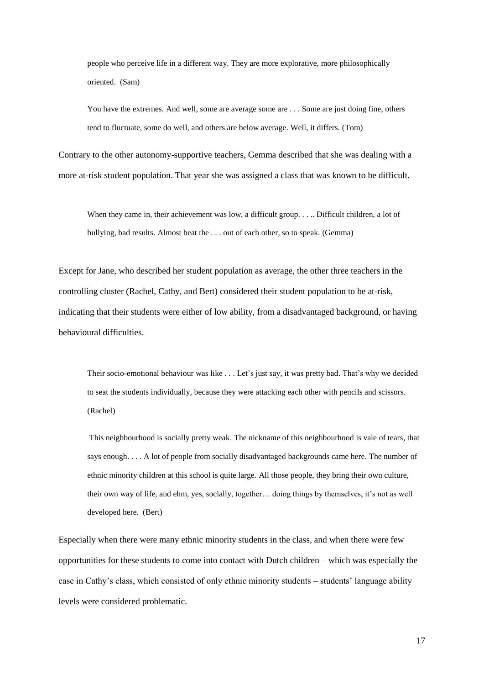people who perceive life in a different way. They are more explorative, more philosophically oriented. (Sam)

You have the extremes. And well, some are average some are . . . Some are just doing fine, others tend to fluctuate, some do well, and others are below average. Well, it differs. (Tom)

Contrary to the other autonomy-supportive teachers, Gemma described that she was dealing with a more at-risk student population. That year she was assigned a class that was known to be difficult.

When they came in, their achievement was low, a difficult group. . . . Difficult children, a lot of bullying, bad results. Almost beat the . . . out of each other, so to speak. (Gemma)

Except for Jane, who described her student population as average, the other three teachers in the controlling cluster (Rachel, Cathy, and Bert) considered their student population to be at-risk, indicating that their students were either of low ability, from a disadvantaged background, or having behavioural difficulties.

Their socio-emotional behaviour was like . . . Let's just say, it was pretty bad. That's why we decided to seat the students individually, because they were attacking each other with pencils and scissors. (Rachel)

 This neighbourhood is socially pretty weak. The nickname of this neighbourhood is vale of tears, that says enough. . . . A lot of people from socially disadvantaged backgrounds came here. The number of ethnic minority children at this school is quite large. All those people, they bring their own culture, their own way of life, and ehm, yes, socially, together… doing things by themselves, it's not as well developed here. (Bert)

Especially when there were many ethnic minority students in the class, and when there were few opportunities for these students to come into contact with Dutch children – which was especially the case in Cathy's class, which consisted of only ethnic minority students – students' language ability levels were considered problematic.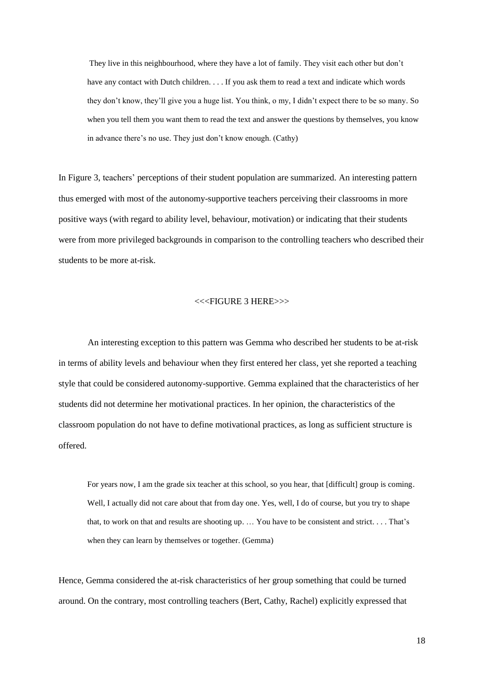They live in this neighbourhood, where they have a lot of family. They visit each other but don't have any contact with Dutch children. . . . If you ask them to read a text and indicate which words they don't know, they'll give you a huge list. You think, o my, I didn't expect there to be so many. So when you tell them you want them to read the text and answer the questions by themselves, you know in advance there's no use. They just don't know enough. (Cathy)

In Figure 3, teachers' perceptions of their student population are summarized. An interesting pattern thus emerged with most of the autonomy-supportive teachers perceiving their classrooms in more positive ways (with regard to ability level, behaviour, motivation) or indicating that their students were from more privileged backgrounds in comparison to the controlling teachers who described their students to be more at-risk.

#### <<<FIGURE 3 HERE>>>

An interesting exception to this pattern was Gemma who described her students to be at-risk in terms of ability levels and behaviour when they first entered her class, yet she reported a teaching style that could be considered autonomy-supportive. Gemma explained that the characteristics of her students did not determine her motivational practices. In her opinion, the characteristics of the classroom population do not have to define motivational practices, as long as sufficient structure is offered.

For years now, I am the grade six teacher at this school, so you hear, that [difficult] group is coming. Well, I actually did not care about that from day one. Yes, well, I do of course, but you try to shape that, to work on that and results are shooting up. … You have to be consistent and strict. . . . That's when they can learn by themselves or together. (Gemma)

Hence, Gemma considered the at-risk characteristics of her group something that could be turned around. On the contrary, most controlling teachers (Bert, Cathy, Rachel) explicitly expressed that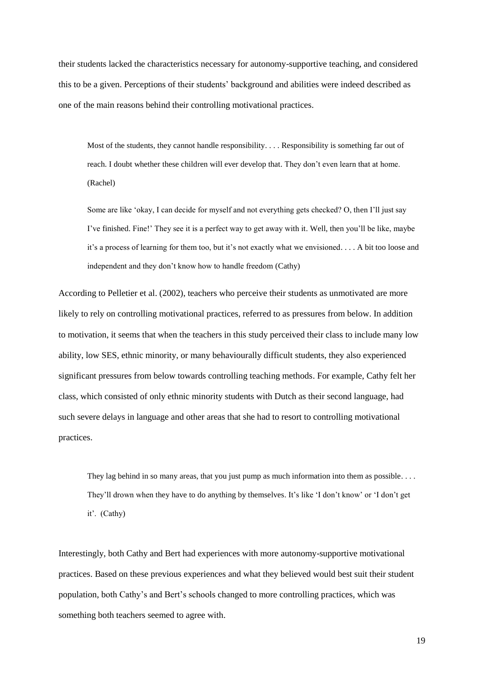their students lacked the characteristics necessary for autonomy-supportive teaching, and considered this to be a given. Perceptions of their students' background and abilities were indeed described as one of the main reasons behind their controlling motivational practices.

Most of the students, they cannot handle responsibility. . . . Responsibility is something far out of reach. I doubt whether these children will ever develop that. They don't even learn that at home. (Rachel)

Some are like 'okay, I can decide for myself and not everything gets checked? O, then I'll just say I've finished. Fine!' They see it is a perfect way to get away with it. Well, then you'll be like, maybe it's a process of learning for them too, but it's not exactly what we envisioned. . . . A bit too loose and independent and they don't know how to handle freedom (Cathy)

According to Pelletier et al. (2002), teachers who perceive their students as unmotivated are more likely to rely on controlling motivational practices, referred to as pressures from below. In addition to motivation, it seems that when the teachers in this study perceived their class to include many low ability, low SES, ethnic minority, or many behaviourally difficult students, they also experienced significant pressures from below towards controlling teaching methods. For example, Cathy felt her class, which consisted of only ethnic minority students with Dutch as their second language, had such severe delays in language and other areas that she had to resort to controlling motivational practices.

They lag behind in so many areas, that you just pump as much information into them as possible. . . . They'll drown when they have to do anything by themselves. It's like 'I don't know' or 'I don't get it'. (Cathy)

Interestingly, both Cathy and Bert had experiences with more autonomy-supportive motivational practices. Based on these previous experiences and what they believed would best suit their student population, both Cathy's and Bert's schools changed to more controlling practices, which was something both teachers seemed to agree with.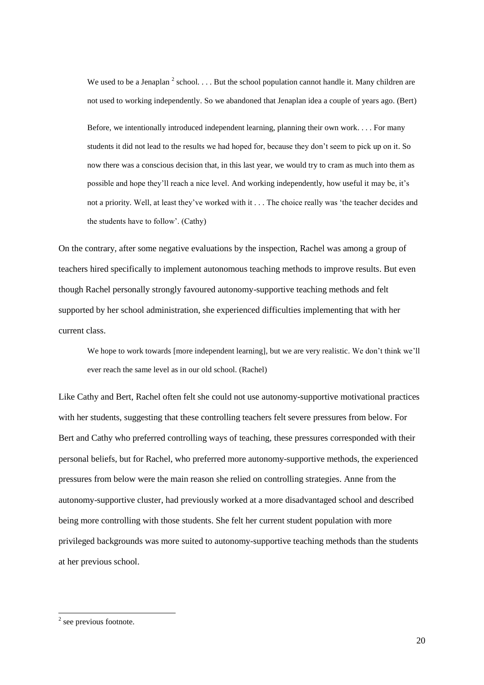We used to be a Jenaplan  $^2$  school... But the school population cannot handle it. Many children are not used to working independently. So we abandoned that Jenaplan idea a couple of years ago. (Bert)

Before, we intentionally introduced independent learning, planning their own work. . . . For many students it did not lead to the results we had hoped for, because they don't seem to pick up on it. So now there was a conscious decision that, in this last year, we would try to cram as much into them as possible and hope they'll reach a nice level. And working independently, how useful it may be, it's not a priority. Well, at least they've worked with it . . . The choice really was 'the teacher decides and the students have to follow'. (Cathy)

On the contrary, after some negative evaluations by the inspection, Rachel was among a group of teachers hired specifically to implement autonomous teaching methods to improve results. But even though Rachel personally strongly favoured autonomy-supportive teaching methods and felt supported by her school administration, she experienced difficulties implementing that with her current class.

We hope to work towards [more independent learning], but we are very realistic. We don't think we'll ever reach the same level as in our old school. (Rachel)

Like Cathy and Bert, Rachel often felt she could not use autonomy-supportive motivational practices with her students, suggesting that these controlling teachers felt severe pressures from below. For Bert and Cathy who preferred controlling ways of teaching, these pressures corresponded with their personal beliefs, but for Rachel, who preferred more autonomy-supportive methods, the experienced pressures from below were the main reason she relied on controlling strategies. Anne from the autonomy-supportive cluster, had previously worked at a more disadvantaged school and described being more controlling with those students. She felt her current student population with more privileged backgrounds was more suited to autonomy-supportive teaching methods than the students at her previous school.

 $2$  see previous footnote.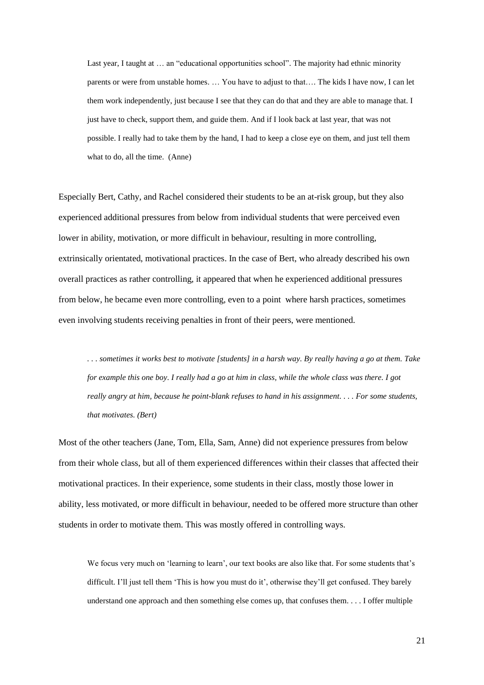Last year, I taught at … an "educational opportunities school". The majority had ethnic minority parents or were from unstable homes. … You have to adjust to that…. The kids I have now, I can let them work independently, just because I see that they can do that and they are able to manage that. I just have to check, support them, and guide them. And if I look back at last year, that was not possible. I really had to take them by the hand, I had to keep a close eye on them, and just tell them what to do, all the time. (Anne)

Especially Bert, Cathy, and Rachel considered their students to be an at-risk group, but they also experienced additional pressures from below from individual students that were perceived even lower in ability, motivation, or more difficult in behaviour, resulting in more controlling, extrinsically orientated, motivational practices. In the case of Bert, who already described his own overall practices as rather controlling, it appeared that when he experienced additional pressures from below, he became even more controlling, even to a point where harsh practices, sometimes even involving students receiving penalties in front of their peers, were mentioned.

*. . . sometimes it works best to motivate [students] in a harsh way. By really having a go at them. Take for example this one boy. I really had a go at him in class, while the whole class was there. I got really angry at him, because he point-blank refuses to hand in his assignment. . . . For some students, that motivates. (Bert)* 

Most of the other teachers (Jane, Tom, Ella, Sam, Anne) did not experience pressures from below from their whole class, but all of them experienced differences within their classes that affected their motivational practices. In their experience, some students in their class, mostly those lower in ability, less motivated, or more difficult in behaviour, needed to be offered more structure than other students in order to motivate them. This was mostly offered in controlling ways.

We focus very much on 'learning to learn', our text books are also like that. For some students that's difficult. I'll just tell them 'This is how you must do it', otherwise they'll get confused. They barely understand one approach and then something else comes up, that confuses them. . . . I offer multiple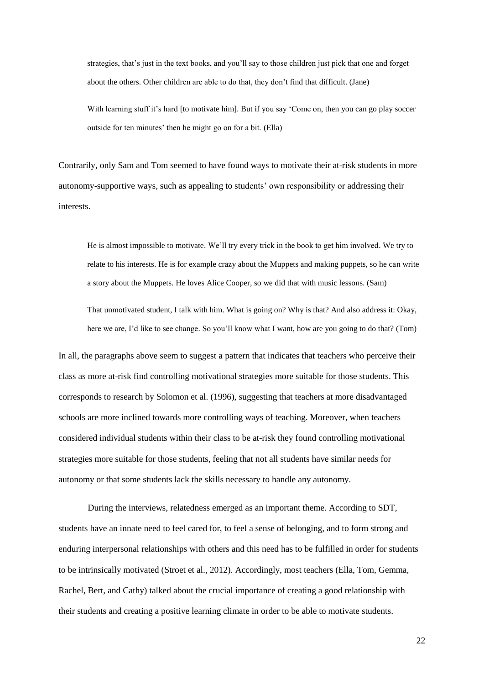strategies, that's just in the text books, and you'll say to those children just pick that one and forget about the others. Other children are able to do that, they don't find that difficult. (Jane)

With learning stuff it's hard [to motivate him]. But if you say 'Come on, then you can go play soccer outside for ten minutes' then he might go on for a bit. (Ella)

Contrarily, only Sam and Tom seemed to have found ways to motivate their at-risk students in more autonomy-supportive ways, such as appealing to students' own responsibility or addressing their interests.

He is almost impossible to motivate. We'll try every trick in the book to get him involved. We try to relate to his interests. He is for example crazy about the Muppets and making puppets, so he can write a story about the Muppets. He loves Alice Cooper, so we did that with music lessons. (Sam)

That unmotivated student, I talk with him. What is going on? Why is that? And also address it: Okay, here we are, I'd like to see change. So you'll know what I want, how are you going to do that? (Tom)

In all, the paragraphs above seem to suggest a pattern that indicates that teachers who perceive their class as more at-risk find controlling motivational strategies more suitable for those students. This corresponds to research by Solomon et al. (1996), suggesting that teachers at more disadvantaged schools are more inclined towards more controlling ways of teaching. Moreover, when teachers considered individual students within their class to be at-risk they found controlling motivational strategies more suitable for those students, feeling that not all students have similar needs for autonomy or that some students lack the skills necessary to handle any autonomy.

During the interviews, relatedness emerged as an important theme. According to SDT, students have an innate need to feel cared for, to feel a sense of belonging, and to form strong and enduring interpersonal relationships with others and this need has to be fulfilled in order for students to be intrinsically motivated (Stroet et al., 2012). Accordingly, most teachers (Ella, Tom, Gemma, Rachel, Bert, and Cathy) talked about the crucial importance of creating a good relationship with their students and creating a positive learning climate in order to be able to motivate students.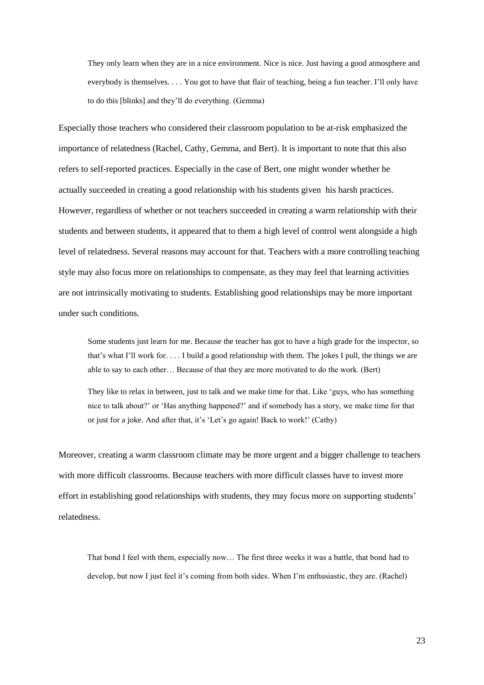They only learn when they are in a nice environment. Nice is nice. Just having a good atmosphere and everybody is themselves. . . . You got to have that flair of teaching, being a fun teacher. I'll only have to do this [blinks] and they'll do everything. (Gemma)

Especially those teachers who considered their classroom population to be at-risk emphasized the importance of relatedness (Rachel, Cathy, Gemma, and Bert). It is important to note that this also refers to self-reported practices. Especially in the case of Bert, one might wonder whether he actually succeeded in creating a good relationship with his students given his harsh practices. However, regardless of whether or not teachers succeeded in creating a warm relationship with their students and between students, it appeared that to them a high level of control went alongside a high level of relatedness. Several reasons may account for that. Teachers with a more controlling teaching style may also focus more on relationships to compensate, as they may feel that learning activities are not intrinsically motivating to students. Establishing good relationships may be more important under such conditions.

Some students just learn for me. Because the teacher has got to have a high grade for the inspector, so that's what I'll work for. . . . I build a good relationship with them. The jokes I pull, the things we are able to say to each other… Because of that they are more motivated to do the work. (Bert)

They like to relax in between, just to talk and we make time for that. Like 'guys, who has something nice to talk about?' or 'Has anything happened?' and if somebody has a story, we make time for that or just for a joke. And after that, it's 'Let's go again! Back to work!' (Cathy)

Moreover, creating a warm classroom climate may be more urgent and a bigger challenge to teachers with more difficult classrooms. Because teachers with more difficult classes have to invest more effort in establishing good relationships with students, they may focus more on supporting students' relatedness.

That bond I feel with them, especially now… The first three weeks it was a battle, that bond had to develop, but now I just feel it's coming from both sides. When I'm enthusiastic, they are. (Rachel)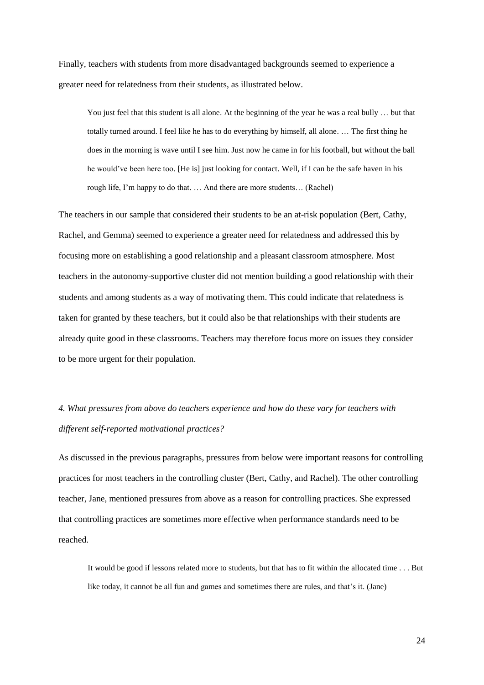Finally, teachers with students from more disadvantaged backgrounds seemed to experience a greater need for relatedness from their students, as illustrated below.

You just feel that this student is all alone. At the beginning of the year he was a real bully ... but that totally turned around. I feel like he has to do everything by himself, all alone. … The first thing he does in the morning is wave until I see him. Just now he came in for his football, but without the ball he would've been here too. [He is] just looking for contact. Well, if I can be the safe haven in his rough life, I'm happy to do that. … And there are more students… (Rachel)

The teachers in our sample that considered their students to be an at-risk population (Bert, Cathy, Rachel, and Gemma) seemed to experience a greater need for relatedness and addressed this by focusing more on establishing a good relationship and a pleasant classroom atmosphere. Most teachers in the autonomy-supportive cluster did not mention building a good relationship with their students and among students as a way of motivating them. This could indicate that relatedness is taken for granted by these teachers, but it could also be that relationships with their students are already quite good in these classrooms. Teachers may therefore focus more on issues they consider to be more urgent for their population.

# *4. What pressures from above do teachers experience and how do these vary for teachers with different self-reported motivational practices?*

As discussed in the previous paragraphs, pressures from below were important reasons for controlling practices for most teachers in the controlling cluster (Bert, Cathy, and Rachel). The other controlling teacher, Jane, mentioned pressures from above as a reason for controlling practices. She expressed that controlling practices are sometimes more effective when performance standards need to be reached.

It would be good if lessons related more to students, but that has to fit within the allocated time . . . But like today, it cannot be all fun and games and sometimes there are rules, and that's it. (Jane)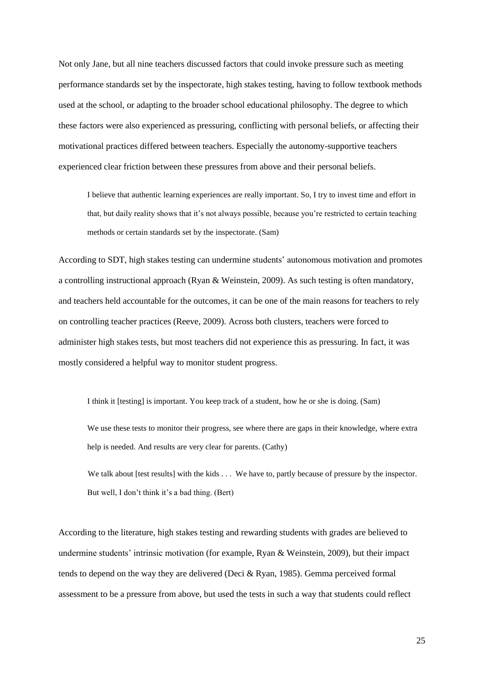Not only Jane, but all nine teachers discussed factors that could invoke pressure such as meeting performance standards set by the inspectorate, high stakes testing, having to follow textbook methods used at the school, or adapting to the broader school educational philosophy. The degree to which these factors were also experienced as pressuring, conflicting with personal beliefs, or affecting their motivational practices differed between teachers. Especially the autonomy-supportive teachers experienced clear friction between these pressures from above and their personal beliefs.

I believe that authentic learning experiences are really important. So, I try to invest time and effort in that, but daily reality shows that it's not always possible, because you're restricted to certain teaching methods or certain standards set by the inspectorate. (Sam)

According to SDT, high stakes testing can undermine students' autonomous motivation and promotes a controlling instructional approach (Ryan & Weinstein, 2009). As such testing is often mandatory, and teachers held accountable for the outcomes, it can be one of the main reasons for teachers to rely on controlling teacher practices (Reeve, 2009). Across both clusters, teachers were forced to administer high stakes tests, but most teachers did not experience this as pressuring. In fact, it was mostly considered a helpful way to monitor student progress.

I think it [testing] is important. You keep track of a student, how he or she is doing. (Sam) We use these tests to monitor their progress, see where there are gaps in their knowledge, where extra help is needed. And results are very clear for parents. (Cathy)

We talk about [test results] with the kids . . . We have to, partly because of pressure by the inspector. But well, I don't think it's a bad thing. (Bert)

According to the literature, high stakes testing and rewarding students with grades are believed to undermine students' intrinsic motivation (for example, Ryan & Weinstein, 2009), but their impact tends to depend on the way they are delivered (Deci & Ryan, 1985). Gemma perceived formal assessment to be a pressure from above, but used the tests in such a way that students could reflect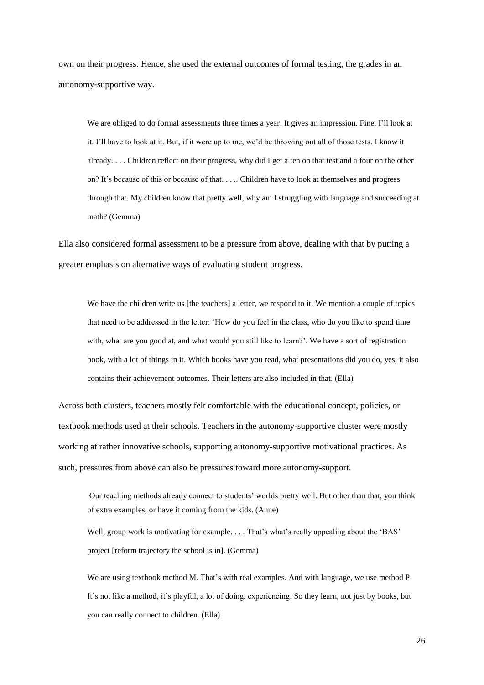own on their progress. Hence, she used the external outcomes of formal testing, the grades in an autonomy-supportive way.

We are obliged to do formal assessments three times a year. It gives an impression. Fine. I'll look at it. I'll have to look at it. But, if it were up to me, we'd be throwing out all of those tests. I know it already. . . . Children reflect on their progress, why did I get a ten on that test and a four on the other on? It's because of this or because of that. . . .. Children have to look at themselves and progress through that. My children know that pretty well, why am I struggling with language and succeeding at math? (Gemma)

Ella also considered formal assessment to be a pressure from above, dealing with that by putting a greater emphasis on alternative ways of evaluating student progress.

We have the children write us [the teachers] a letter, we respond to it. We mention a couple of topics that need to be addressed in the letter: 'How do you feel in the class, who do you like to spend time with, what are you good at, and what would you still like to learn?'. We have a sort of registration book, with a lot of things in it. Which books have you read, what presentations did you do, yes, it also contains their achievement outcomes. Their letters are also included in that. (Ella)

Across both clusters, teachers mostly felt comfortable with the educational concept, policies, or textbook methods used at their schools. Teachers in the autonomy-supportive cluster were mostly working at rather innovative schools, supporting autonomy-supportive motivational practices. As such, pressures from above can also be pressures toward more autonomy-support.

Our teaching methods already connect to students' worlds pretty well. But other than that, you think of extra examples, or have it coming from the kids. (Anne)

Well, group work is motivating for example. . . . That's what's really appealing about the 'BAS' project [reform trajectory the school is in]. (Gemma)

We are using textbook method M. That's with real examples. And with language, we use method P. It's not like a method, it's playful, a lot of doing, experiencing. So they learn, not just by books, but you can really connect to children. (Ella)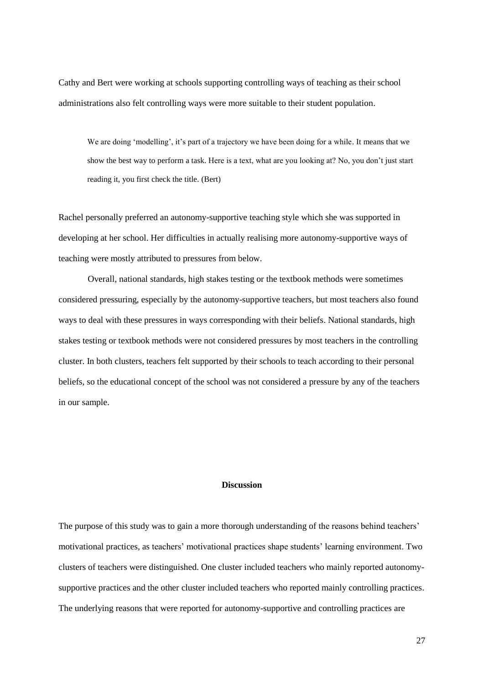Cathy and Bert were working at schools supporting controlling ways of teaching as their school administrations also felt controlling ways were more suitable to their student population.

We are doing 'modelling', it's part of a trajectory we have been doing for a while. It means that we show the best way to perform a task. Here is a text, what are you looking at? No, you don't just start reading it, you first check the title. (Bert)

Rachel personally preferred an autonomy-supportive teaching style which she was supported in developing at her school. Her difficulties in actually realising more autonomy-supportive ways of teaching were mostly attributed to pressures from below.

Overall, national standards, high stakes testing or the textbook methods were sometimes considered pressuring, especially by the autonomy-supportive teachers, but most teachers also found ways to deal with these pressures in ways corresponding with their beliefs. National standards, high stakes testing or textbook methods were not considered pressures by most teachers in the controlling cluster. In both clusters, teachers felt supported by their schools to teach according to their personal beliefs, so the educational concept of the school was not considered a pressure by any of the teachers in our sample.

#### **Discussion**

The purpose of this study was to gain a more thorough understanding of the reasons behind teachers' motivational practices, as teachers' motivational practices shape students' learning environment. Two clusters of teachers were distinguished. One cluster included teachers who mainly reported autonomysupportive practices and the other cluster included teachers who reported mainly controlling practices. The underlying reasons that were reported for autonomy-supportive and controlling practices are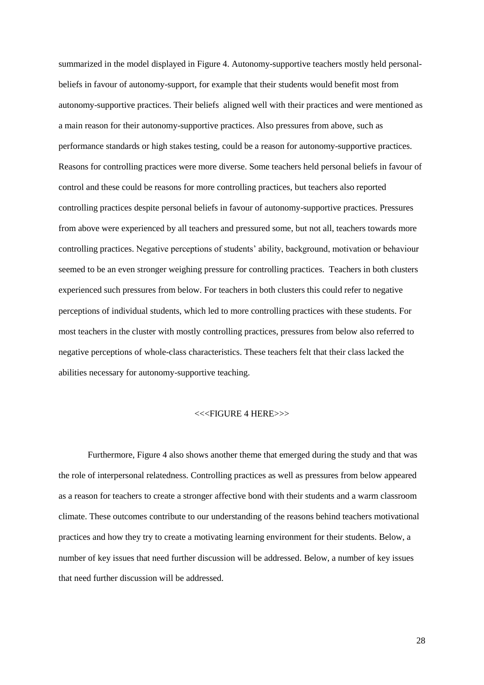summarized in the model displayed in Figure 4. Autonomy-supportive teachers mostly held personalbeliefs in favour of autonomy-support, for example that their students would benefit most from autonomy-supportive practices. Their beliefs aligned well with their practices and were mentioned as a main reason for their autonomy-supportive practices. Also pressures from above, such as performance standards or high stakes testing, could be a reason for autonomy-supportive practices. Reasons for controlling practices were more diverse. Some teachers held personal beliefs in favour of control and these could be reasons for more controlling practices, but teachers also reported controlling practices despite personal beliefs in favour of autonomy-supportive practices. Pressures from above were experienced by all teachers and pressured some, but not all, teachers towards more controlling practices. Negative perceptions of students' ability, background, motivation or behaviour seemed to be an even stronger weighing pressure for controlling practices. Teachers in both clusters experienced such pressures from below. For teachers in both clusters this could refer to negative perceptions of individual students, which led to more controlling practices with these students. For most teachers in the cluster with mostly controlling practices, pressures from below also referred to negative perceptions of whole-class characteristics. These teachers felt that their class lacked the abilities necessary for autonomy-supportive teaching.

#### <<<FIGURE 4 HERE>>>

Furthermore, Figure 4 also shows another theme that emerged during the study and that was the role of interpersonal relatedness. Controlling practices as well as pressures from below appeared as a reason for teachers to create a stronger affective bond with their students and a warm classroom climate. These outcomes contribute to our understanding of the reasons behind teachers motivational practices and how they try to create a motivating learning environment for their students. Below, a number of key issues that need further discussion will be addressed. Below, a number of key issues that need further discussion will be addressed.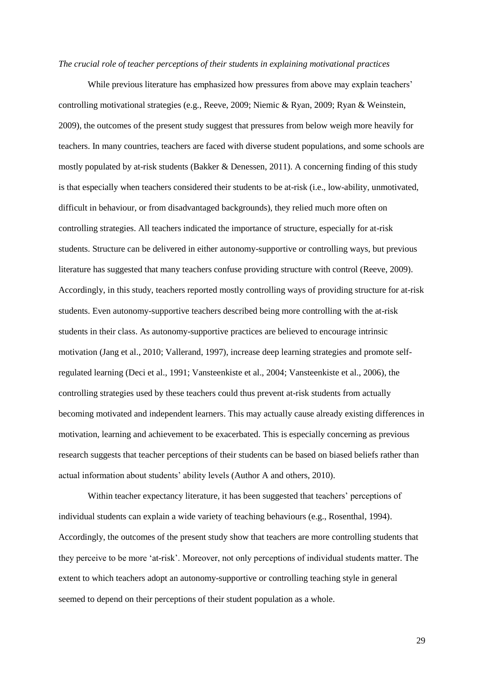#### *The crucial role of teacher perceptions of their students in explaining motivational practices*

While previous literature has emphasized how pressures from above may explain teachers' controlling motivational strategies (e.g., Reeve, 2009; Niemic & Ryan, 2009; Ryan & Weinstein, 2009), the outcomes of the present study suggest that pressures from below weigh more heavily for teachers. In many countries, teachers are faced with diverse student populations, and some schools are mostly populated by at-risk students (Bakker & Denessen, 2011). A concerning finding of this study is that especially when teachers considered their students to be at-risk (i.e., low-ability, unmotivated, difficult in behaviour, or from disadvantaged backgrounds), they relied much more often on controlling strategies. All teachers indicated the importance of structure, especially for at-risk students. Structure can be delivered in either autonomy-supportive or controlling ways, but previous literature has suggested that many teachers confuse providing structure with control (Reeve, 2009). Accordingly, in this study, teachers reported mostly controlling ways of providing structure for at-risk students. Even autonomy-supportive teachers described being more controlling with the at-risk students in their class. As autonomy-supportive practices are believed to encourage intrinsic motivation (Jang et al., 2010; Vallerand, 1997), increase deep learning strategies and promote selfregulated learning (Deci et al., 1991; Vansteenkiste et al., 2004; Vansteenkiste et al., 2006), the controlling strategies used by these teachers could thus prevent at-risk students from actually becoming motivated and independent learners. This may actually cause already existing differences in motivation, learning and achievement to be exacerbated. This is especially concerning as previous research suggests that teacher perceptions of their students can be based on biased beliefs rather than actual information about students' ability levels (Author A and others, 2010).

Within teacher expectancy literature, it has been suggested that teachers' perceptions of individual students can explain a wide variety of teaching behaviours (e.g., Rosenthal, 1994). Accordingly, the outcomes of the present study show that teachers are more controlling students that they perceive to be more 'at-risk'. Moreover, not only perceptions of individual students matter. The extent to which teachers adopt an autonomy-supportive or controlling teaching style in general seemed to depend on their perceptions of their student population as a whole.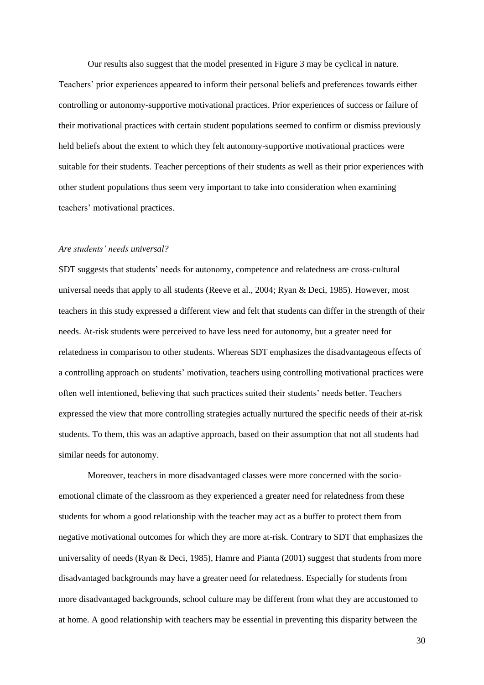Our results also suggest that the model presented in Figure 3 may be cyclical in nature.

Teachers' prior experiences appeared to inform their personal beliefs and preferences towards either controlling or autonomy-supportive motivational practices. Prior experiences of success or failure of their motivational practices with certain student populations seemed to confirm or dismiss previously held beliefs about the extent to which they felt autonomy-supportive motivational practices were suitable for their students. Teacher perceptions of their students as well as their prior experiences with other student populations thus seem very important to take into consideration when examining teachers' motivational practices.

#### *Are students' needs universal?*

SDT suggests that students' needs for autonomy, competence and relatedness are cross-cultural universal needs that apply to all students (Reeve et al., 2004; Ryan & Deci, 1985). However, most teachers in this study expressed a different view and felt that students can differ in the strength of their needs. At-risk students were perceived to have less need for autonomy, but a greater need for relatedness in comparison to other students. Whereas SDT emphasizes the disadvantageous effects of a controlling approach on students' motivation, teachers using controlling motivational practices were often well intentioned, believing that such practices suited their students' needs better. Teachers expressed the view that more controlling strategies actually nurtured the specific needs of their at-risk students. To them, this was an adaptive approach, based on their assumption that not all students had similar needs for autonomy.

Moreover, teachers in more disadvantaged classes were more concerned with the socioemotional climate of the classroom as they experienced a greater need for relatedness from these students for whom a good relationship with the teacher may act as a buffer to protect them from negative motivational outcomes for which they are more at-risk. Contrary to SDT that emphasizes the universality of needs (Ryan & Deci, 1985), Hamre and Pianta (2001) suggest that students from more disadvantaged backgrounds may have a greater need for relatedness. Especially for students from more disadvantaged backgrounds, school culture may be different from what they are accustomed to at home. A good relationship with teachers may be essential in preventing this disparity between the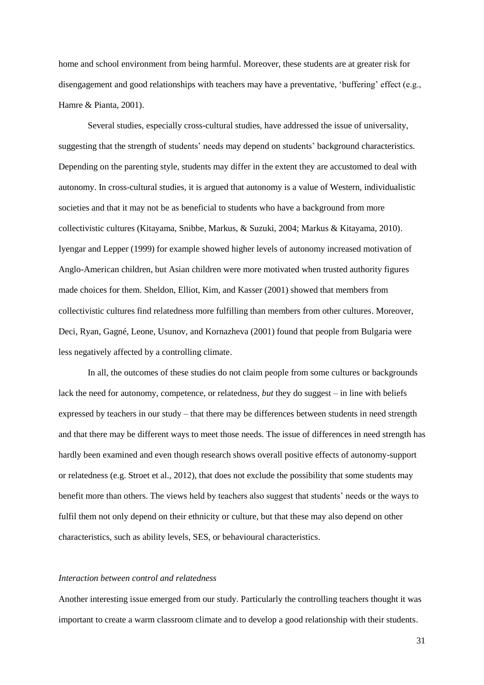home and school environment from being harmful. Moreover, these students are at greater risk for disengagement and good relationships with teachers may have a preventative, 'buffering' effect (e.g., Hamre & Pianta, 2001).

Several studies, especially cross-cultural studies, have addressed the issue of universality, suggesting that the strength of students' needs may depend on students' background characteristics. Depending on the parenting style, students may differ in the extent they are accustomed to deal with autonomy. In cross-cultural studies, it is argued that autonomy is a value of Western, individualistic societies and that it may not be as beneficial to students who have a background from more collectivistic cultures (Kitayama, Snibbe, Markus, & Suzuki, 2004; Markus & Kitayama, 2010). Iyengar and Lepper (1999) for example showed higher levels of autonomy increased motivation of Anglo-American children, but Asian children were more motivated when trusted authority figures made choices for them. Sheldon, Elliot, Kim, and Kasser (2001) showed that members from collectivistic cultures find relatedness more fulfilling than members from other cultures. Moreover, Deci, Ryan, Gagné, Leone, Usunov, and Kornazheva (2001) found that people from Bulgaria were less negatively affected by a controlling climate.

In all, the outcomes of these studies do not claim people from some cultures or backgrounds lack the need for autonomy, competence, or relatedness, *but* they do suggest – in line with beliefs expressed by teachers in our study – that there may be differences between students in need strength and that there may be different ways to meet those needs. The issue of differences in need strength has hardly been examined and even though research shows overall positive effects of autonomy-support or relatedness (e.g. Stroet et al., 2012), that does not exclude the possibility that some students may benefit more than others. The views held by teachers also suggest that students' needs or the ways to fulfil them not only depend on their ethnicity or culture, but that these may also depend on other characteristics, such as ability levels, SES, or behavioural characteristics.

#### *Interaction between control and relatedness*

Another interesting issue emerged from our study. Particularly the controlling teachers thought it was important to create a warm classroom climate and to develop a good relationship with their students.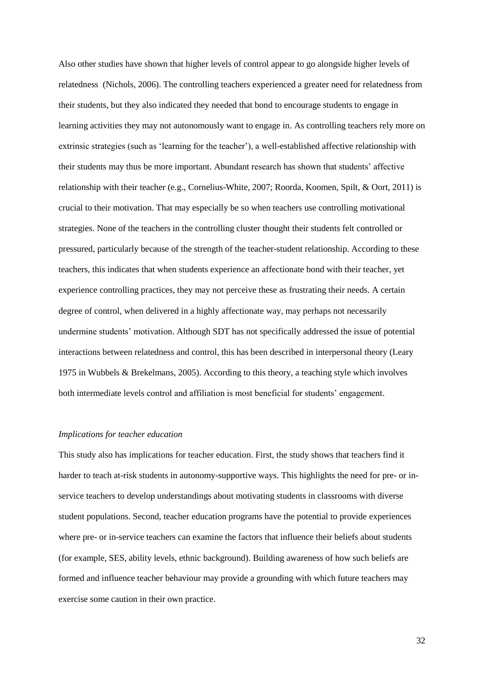Also other studies have shown that higher levels of control appear to go alongside higher levels of relatedness (Nichols, 2006). The controlling teachers experienced a greater need for relatedness from their students, but they also indicated they needed that bond to encourage students to engage in learning activities they may not autonomously want to engage in. As controlling teachers rely more on extrinsic strategies (such as 'learning for the teacher'), a well-established affective relationship with their students may thus be more important. Abundant research has shown that students' affective relationship with their teacher (e.g., Cornelius-White, 2007; Roorda, Koomen, Spilt, & Oort, 2011) is crucial to their motivation. That may especially be so when teachers use controlling motivational strategies. None of the teachers in the controlling cluster thought their students felt controlled or pressured, particularly because of the strength of the teacher-student relationship. According to these teachers, this indicates that when students experience an affectionate bond with their teacher, yet experience controlling practices, they may not perceive these as frustrating their needs. A certain degree of control, when delivered in a highly affectionate way, may perhaps not necessarily undermine students' motivation. Although SDT has not specifically addressed the issue of potential interactions between relatedness and control, this has been described in interpersonal theory (Leary 1975 in Wubbels & Brekelmans, 2005). According to this theory, a teaching style which involves both intermediate levels control and affiliation is most beneficial for students' engagement.

#### *Implications for teacher education*

This study also has implications for teacher education. First, the study shows that teachers find it harder to teach at-risk students in autonomy-supportive ways. This highlights the need for pre- or inservice teachers to develop understandings about motivating students in classrooms with diverse student populations. Second, teacher education programs have the potential to provide experiences where pre- or in-service teachers can examine the factors that influence their beliefs about students (for example, SES, ability levels, ethnic background). Building awareness of how such beliefs are formed and influence teacher behaviour may provide a grounding with which future teachers may exercise some caution in their own practice.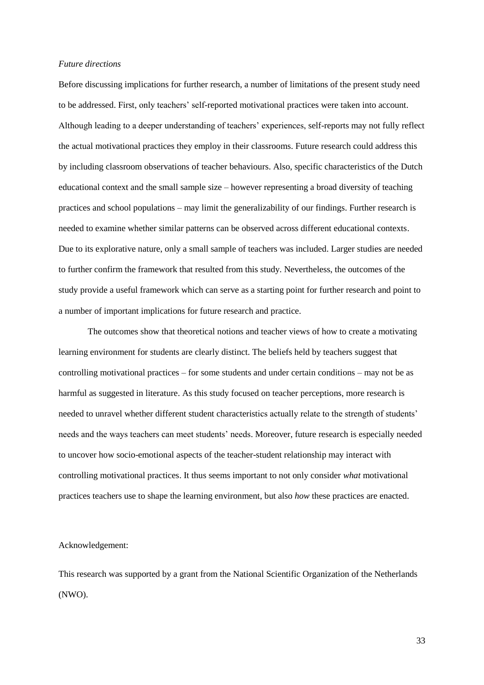#### *Future directions*

Before discussing implications for further research, a number of limitations of the present study need to be addressed. First, only teachers' self-reported motivational practices were taken into account. Although leading to a deeper understanding of teachers' experiences, self-reports may not fully reflect the actual motivational practices they employ in their classrooms. Future research could address this by including classroom observations of teacher behaviours. Also, specific characteristics of the Dutch educational context and the small sample size – however representing a broad diversity of teaching practices and school populations – may limit the generalizability of our findings. Further research is needed to examine whether similar patterns can be observed across different educational contexts. Due to its explorative nature, only a small sample of teachers was included. Larger studies are needed to further confirm the framework that resulted from this study. Nevertheless, the outcomes of the study provide a useful framework which can serve as a starting point for further research and point to a number of important implications for future research and practice.

The outcomes show that theoretical notions and teacher views of how to create a motivating learning environment for students are clearly distinct. The beliefs held by teachers suggest that controlling motivational practices – for some students and under certain conditions – may not be as harmful as suggested in literature. As this study focused on teacher perceptions, more research is needed to unravel whether different student characteristics actually relate to the strength of students' needs and the ways teachers can meet students' needs. Moreover, future research is especially needed to uncover how socio-emotional aspects of the teacher-student relationship may interact with controlling motivational practices. It thus seems important to not only consider *what* motivational practices teachers use to shape the learning environment, but also *how* these practices are enacted.

#### Acknowledgement:

This research was supported by a grant from the National Scientific Organization of the Netherlands (NWO).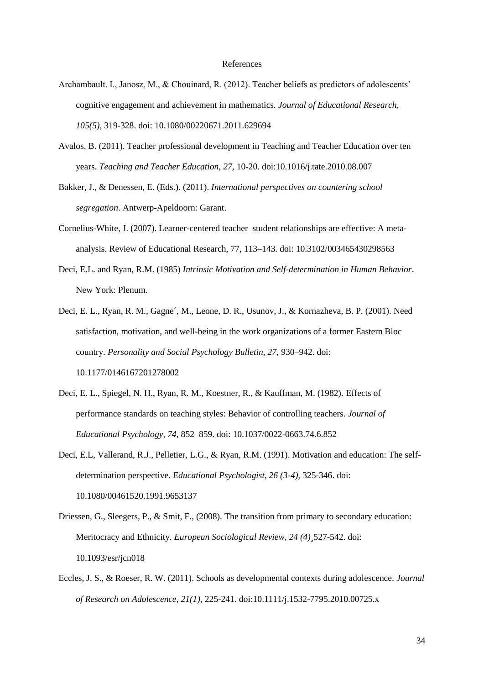#### References

- Archambault. I., Janosz, M., & Chouinard, R. (2012). Teacher beliefs as predictors of adolescents' cognitive engagement and achievement in mathematics. *Journal of Educational Research, 105(5),* 319-328. doi: 10.1080/00220671.2011.629694
- Avalos, B. (2011). Teacher professional development in Teaching and Teacher Education over ten years. *Teaching and Teacher Education, 27,* 10-20. doi:10.1016/j.tate.2010.08.007
- Bakker, J., & Denessen, E. (Eds.). (2011). *International perspectives on countering school segregation*. Antwerp-Apeldoorn: Garant.
- Cornelius-White, J. (2007). Learner-centered teacher–student relationships are effective: A metaanalysis. Review of Educational Research, 77, 113–143. doi: 10.3102/003465430298563
- Deci, E.L. and Ryan, R.M. (1985) *Intrinsic Motivation and Self-determination in Human Behavior*. New York: Plenum.
- Deci, E. L., Ryan, R. M., Gagne´, M., Leone, D. R., Usunov, J., & Kornazheva, B. P. (2001). Need satisfaction, motivation, and well-being in the work organizations of a former Eastern Bloc country. *Personality and Social Psychology Bulletin, 27,* 930–942. doi: 10.1177/0146167201278002
- Deci, E. L., Spiegel, N. H., Ryan, R. M., Koestner, R., & Kauffman, M. (1982). Effects of performance standards on teaching styles: Behavior of controlling teachers. *Journal of Educational Psychology, 74*, 852–859. doi: 10.1037/0022-0663.74.6.852
- Deci, E.L, Vallerand, R.J., Pelletier, L.G., & Ryan, R.M. (1991). Motivation and education: The selfdetermination perspective. *Educational Psychologist, 26 (3-4),* 325-346. doi: 10.1080/00461520.1991.9653137
- Driessen, G., Sleegers, P., & Smit, F., (2008). The transition from primary to secondary education: Meritocracy and Ethnicity. *European Sociological Review, 24 (4)¸*527-542. doi: 10.1093/esr/jcn018
- Eccles, J. S., & Roeser, R. W. (2011). Schools as developmental contexts during adolescence. *Journal of Research on Adolescence, 21(1),* 225-241. doi:10.1111/j.1532-7795.2010.00725.x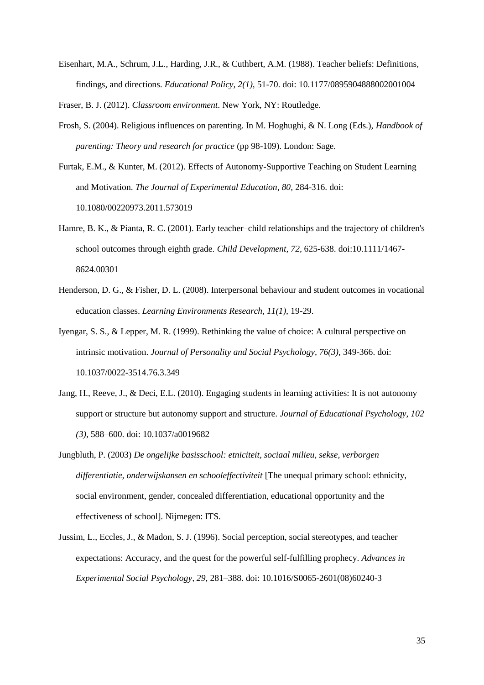Eisenhart, M.A., Schrum, J.L., Harding, J.R., & Cuthbert, A.M. (1988). Teacher beliefs: Definitions, findings, and directions. *Educational Policy, 2(1),* 51-70. doi: 10.1177/0895904888002001004

Fraser, B. J. (2012). *Classroom environment*. New York, NY: Routledge.

- Frosh, S. (2004). Religious influences on parenting. In M. Hoghughi, & N. Long (Eds.), *Handbook of parenting: Theory and research for practice* (pp 98-109). London: Sage.
- Furtak, E.M., & Kunter, M. (2012). Effects of Autonomy-Supportive Teaching on Student Learning and Motivation. *The Journal of Experimental Education, 80,* 284-316. doi: 10.1080/00220973.2011.573019
- Hamre, B. K., & Pianta, R. C. (2001). Early teacher–child relationships and the trajectory of children's school outcomes through eighth grade. *Child Development, 72,* 625-638. doi:10.1111/1467- 8624.00301
- Henderson, D. G., & Fisher, D. L. (2008). Interpersonal behaviour and student outcomes in vocational education classes. *Learning Environments Research, 11(1),* 19-29.
- Iyengar, S. S., & Lepper, M. R. (1999). Rethinking the value of choice: A cultural perspective on intrinsic motivation. *Journal of Personality and Social Psychology, 76(3),* 349-366. doi: 10.1037/0022-3514.76.3.349
- Jang, H., Reeve, J., & Deci, E.L. (2010). Engaging students in learning activities: It is not autonomy support or structure but autonomy support and structure. *Journal of Educational Psychology*, *102 (3),* 588–600. doi: 10.1037/a0019682
- Jungbluth, P. (2003) *De ongelijke basisschool: etniciteit, sociaal milieu, sekse, verborgen differentiatie, onderwijskansen en schooleffectiviteit* [The unequal primary school: ethnicity, social environment, gender, concealed differentiation, educational opportunity and the effectiveness of school]. Nijmegen: ITS.
- Jussim, L., Eccles, J., & Madon, S. J. (1996). Social perception, social stereotypes, and teacher expectations: Accuracy, and the quest for the powerful self-fulfilling prophecy. *Advances in Experimental Social Psychology, 29,* 281–388. doi: 10.1016/S0065-2601(08)60240-3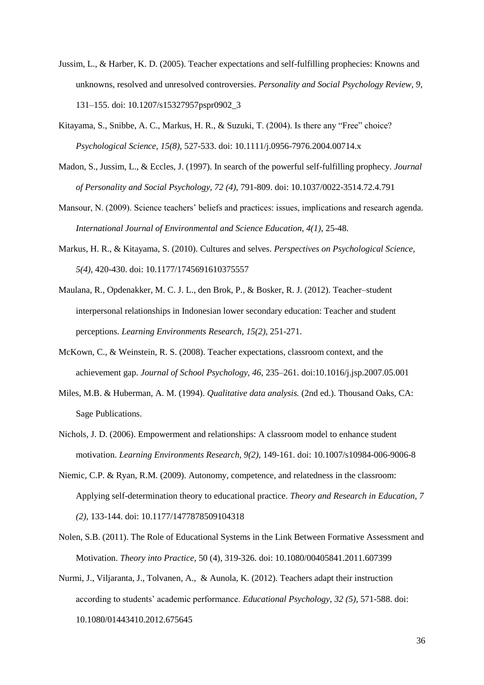- Jussim, L., & Harber, K. D. (2005). Teacher expectations and self-fulfilling prophecies: Knowns and unknowns, resolved and unresolved controversies. *Personality and Social Psychology Review, 9,* 131–155. doi: 10.1207/s15327957pspr0902\_3
- Kitayama, S., Snibbe, A. C., Markus, H. R., & Suzuki, T. (2004). Is there any "Free" choice? *Psychological Science, 15(8),* 527-533. doi: 10.1111/j.0956-7976.2004.00714.x
- Madon, S., Jussim, L., & Eccles, J. (1997). In search of the powerful self-fulfilling prophecy. *Journal of Personality and Social Psychology, 72 (4),* 791-809. doi: 10.1037/0022-3514.72.4.791
- Mansour, N. (2009). Science teachers' beliefs and practices: issues, implications and research agenda. *International Journal of Environmental and Science Education, 4(1),* 25-48.
- Markus, H. R., & Kitayama, S. (2010). Cultures and selves. *Perspectives on Psychological Science, 5(4),* 420-430. doi: 10.1177/1745691610375557
- Maulana, R., Opdenakker, M. C. J. L., den Brok, P., & Bosker, R. J. (2012). Teacher–student interpersonal relationships in Indonesian lower secondary education: Teacher and student perceptions. *Learning Environments Research, 15(2),* 251-271.
- McKown, C., & Weinstein, R. S. (2008). Teacher expectations, classroom context, and the achievement gap. *Journal of School Psychology, 46,* 235–261. doi:10.1016/j.jsp.2007.05.001
- Miles, M.B. & Huberman, A. M. (1994). *Qualitative data analysis.* (2nd ed.). Thousand Oaks, CA: Sage Publications.
- Nichols, J. D. (2006). Empowerment and relationships: A classroom model to enhance student motivation. *Learning Environments Research, 9(2),* 149-161. doi: 10.1007/s10984-006-9006-8
- Niemic, C.P. & Ryan, R.M. (2009). Autonomy, competence, and relatedness in the classroom: Applying self-determination theory to educational practice. *Theory and Research in Education, 7 (2),* 133-144. doi: 10.1177/1477878509104318
- Nolen, S.B. (2011). The Role of Educational Systems in the Link Between Formative Assessment and Motivation. *Theory into Practice,* 50 (4), 319-326. doi: 10.1080/00405841.2011.607399
- Nurmi, J., Viljaranta, J., Tolvanen, A., & Aunola, K. (2012). Teachers adapt their instruction according to students' academic performance. *Educational Psychology, 32 (5),* 571-588. doi: 10.1080/01443410.2012.675645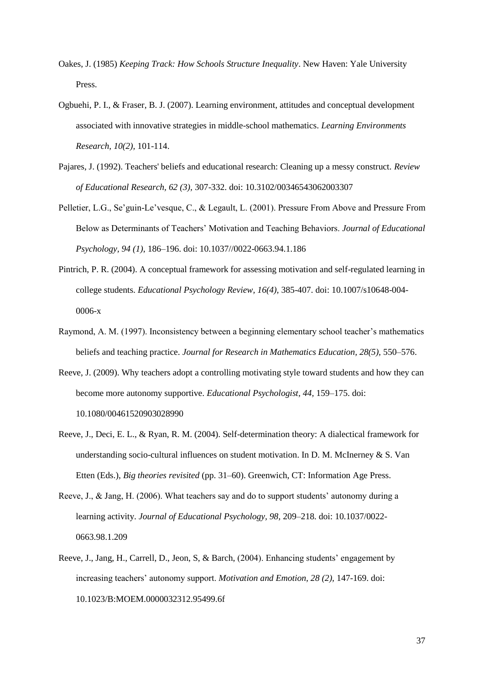- Oakes, J. (1985) *Keeping Track: How Schools Structure Inequality*. New Haven: Yale University Press.
- Ogbuehi, P. I., & Fraser, B. J. (2007). Learning environment, attitudes and conceptual development associated with innovative strategies in middle-school mathematics. *Learning Environments Research, 10(2),* 101-114.
- Pajares, J. (1992). Teachers' beliefs and educational research: Cleaning up a messy construct. *Review of Educational Research, 62 (3),* 307-332. doi: 10.3102/00346543062003307
- Pelletier, L.G., Se'guin-Le'vesque, C., & Legault, L. (2001). Pressure From Above and Pressure From Below as Determinants of Teachers' Motivation and Teaching Behaviors. *Journal of Educational Psychology, 94 (1)*, 186–196. doi: 10.1037//0022-0663.94.1.186
- Pintrich, P. R. (2004). A conceptual framework for assessing motivation and self-regulated learning in college students. *Educational Psychology Review, 16(4),* 385-407. doi: 10.1007/s10648-004- 0006-x
- Raymond, A. M. (1997). Inconsistency between a beginning elementary school teacher's mathematics beliefs and teaching practice. *Journal for Research in Mathematics Education, 28(5),* 550–576.
- Reeve, J. (2009). Why teachers adopt a controlling motivating style toward students and how they can become more autonomy supportive. *Educational Psychologist, 44,* 159–175. doi: 10.1080/00461520903028990
- Reeve, J., Deci, E. L., & Ryan, R. M. (2004). Self-determination theory: A dialectical framework for understanding socio-cultural influences on student motivation. In D. M. McInerney & S. Van Etten (Eds.), *Big theories revisited* (pp. 31–60). Greenwich, CT: Information Age Press.
- Reeve, J., & Jang, H. (2006). What teachers say and do to support students' autonomy during a learning activity. *Journal of Educational Psychology, 98,* 209–218. doi: 10.1037/0022- 0663.98.1.209
- Reeve, J., Jang, H., Carrell, D., Jeon, S, & Barch, (2004). Enhancing students' engagement by increasing teachers' autonomy support. *Motivation and Emotion, 28 (2),* 147-169. doi: 10.1023/B:MOEM.0000032312.95499.6f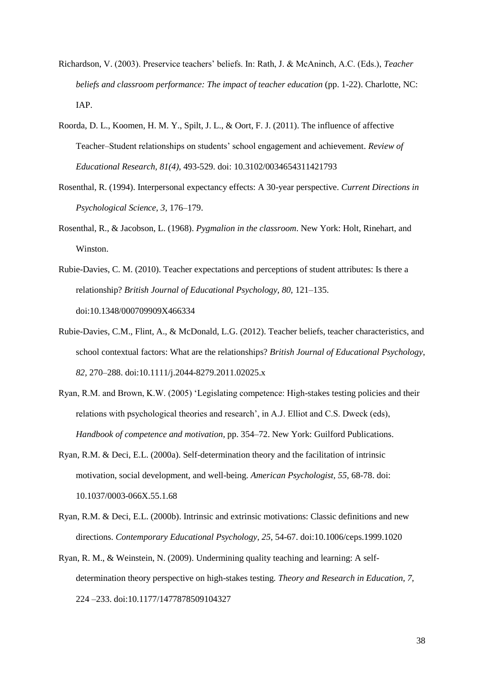- Richardson, V. (2003). Preservice teachers' beliefs. In: Rath, J. & McAninch, A.C. (Eds.), *Teacher beliefs and classroom performance: The impact of teacher education* (pp. 1-22). Charlotte, NC: IAP.
- Roorda, D. L., Koomen, H. M. Y., Spilt, J. L., & Oort, F. J. (2011). The influence of affective Teacher–Student relationships on students' school engagement and achievement. *Review of Educational Research, 81(4),* 493-529. doi: 10.3102/0034654311421793
- Rosenthal, R. (1994). Interpersonal expectancy effects: A 30-year perspective. *Current Directions in Psychological Science, 3*, 176–179.
- Rosenthal, R., & Jacobson, L. (1968). *Pygmalion in the classroom*. New York: Holt, Rinehart, and Winston.
- Rubie-Davies, C. M. (2010). Teacher expectations and perceptions of student attributes: Is there a relationship? *British Journal of Educational Psychology, 80,* 121–135. doi:10.1348/000709909X466334
- Rubie-Davies, C.M., Flint, A., & McDonald, L.G. (2012). Teacher beliefs, teacher characteristics, and school contextual factors: What are the relationships? *British Journal of Educational Psychology*, *82,* 270–288. doi:10.1111/j.2044-8279.2011.02025.x
- Ryan, R.M. and Brown, K.W. (2005) 'Legislating competence: High-stakes testing policies and their relations with psychological theories and research', in A.J. Elliot and C.S. Dweck (eds), *Handbook of competence and motivation,* pp. 354–72. New York: Guilford Publications.
- Ryan, R.M. & Deci, E.L. (2000a). Self-determination theory and the facilitation of intrinsic motivation, social development, and well-being. *American Psychologist, 55,* 68-78. doi: 10.1037/0003-066X.55.1.68
- Ryan, R.M. & Deci, E.L. (2000b). Intrinsic and extrinsic motivations: Classic definitions and new directions. *Contemporary Educational Psychology, 25,* 54-67. doi:10.1006/ceps.1999.1020
- Ryan, R. M., & Weinstein, N. (2009). Undermining quality teaching and learning: A selfdetermination theory perspective on high-stakes testing*. Theory and Research in Education, 7,* 224 –233. doi:10.1177/1477878509104327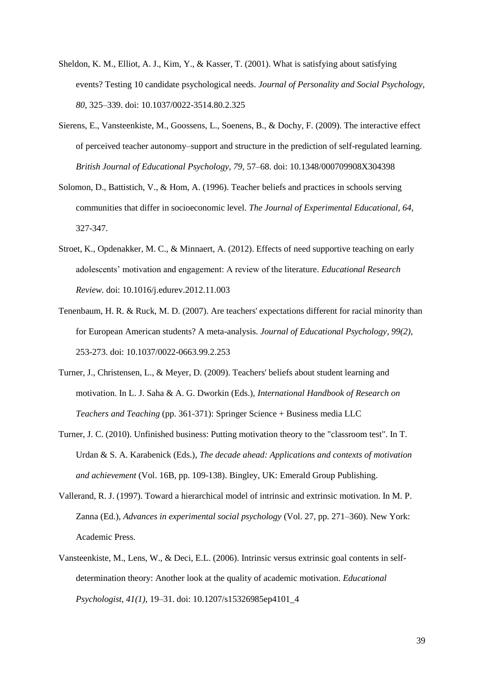- Sheldon, K. M., Elliot, A. J., Kim, Y., & Kasser, T. (2001). What is satisfying about satisfying events? Testing 10 candidate psychological needs. *Journal of Personality and Social Psychology, 80,* 325–339. doi: 10.1037/0022-3514.80.2.325
- Sierens, E., Vansteenkiste, M., Goossens, L., Soenens, B., & Dochy, F. (2009). The interactive effect of perceived teacher autonomy–support and structure in the prediction of self-regulated learning. *British Journal of Educational Psychology, 79,* 57–68. doi: 10.1348/000709908X304398
- Solomon, D., Battistich, V., & Hom, A. (1996). Teacher beliefs and practices in schools serving communities that differ in socioeconomic level. *The Journal of Experimental Educational, 64,*  327-347.
- Stroet, K., Opdenakker, M. C., & Minnaert, A. (2012). Effects of need supportive teaching on early adolescents' motivation and engagement: A review of the literature. *Educational Research Review.* doi: 10.1016/j.edurev.2012.11.003
- Tenenbaum, H. R. & Ruck, M. D. (2007). Are teachers' expectations different for racial minority than for European American students? A meta-analysis. *Journal of Educational Psychology, 99(2),*  253-273. doi: 10.1037/0022-0663.99.2.253
- Turner, J., Christensen, L., & Meyer, D. (2009). Teachers' beliefs about student learning and motivation. In L. J. Saha & A. G. Dworkin (Eds.), *International Handbook of Research on Teachers and Teaching* (pp. 361-371): Springer Science + Business media LLC
- Turner, J. C. (2010). Unfinished business: Putting motivation theory to the "classroom test". In T. Urdan & S. A. Karabenick (Eds.), *The decade ahead: Applications and contexts of motivation and achievement* (Vol. 16B, pp. 109-138). Bingley, UK: Emerald Group Publishing.
- Vallerand, R. J. (1997). Toward a hierarchical model of intrinsic and extrinsic motivation. In M. P. Zanna (Ed.), *Advances in experimental social psychology* (Vol. 27, pp. 271–360). New York: Academic Press.
- Vansteenkiste, M., Lens, W., & Deci, E.L. (2006). Intrinsic versus extrinsic goal contents in selfdetermination theory: Another look at the quality of academic motivation. *Educational Psychologist, 41(1),* 19–31. doi: 10.1207/s15326985ep4101\_4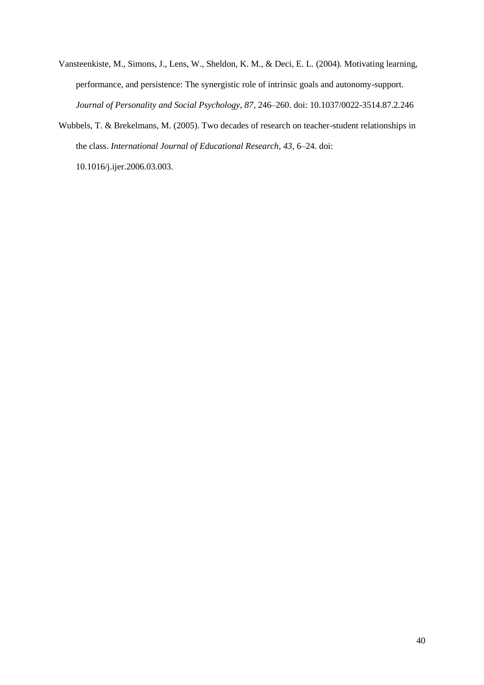- Vansteenkiste, M., Simons, J., Lens, W., Sheldon, K. M., & Deci, E. L. (2004). Motivating learning, performance, and persistence: The synergistic role of intrinsic goals and autonomy-support. *Journal of Personality and Social Psychology, 87*, 246–260. doi: 10.1037/0022-3514.87.2.246
- Wubbels, T. & Brekelmans, M. (2005). Two decades of research on teacher-student relationships in the class. *International Journal of Educational Research, 43,* 6–24. doi:

10.1016/j.ijer.2006.03.003.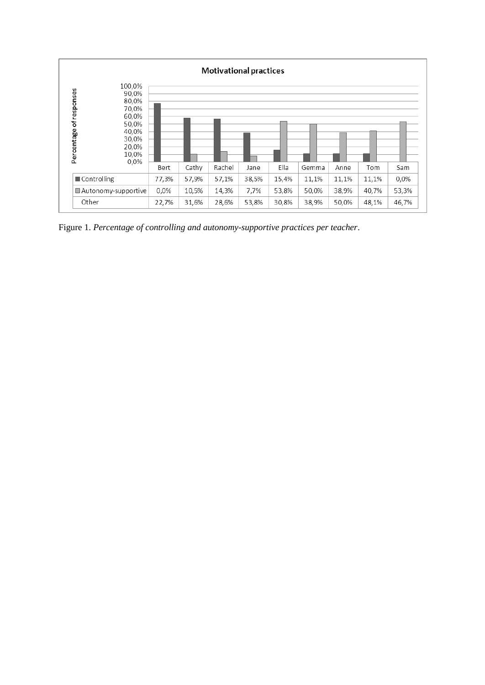

Figure 1. *Percentage of controlling and autonomy-supportive practices per teacher*.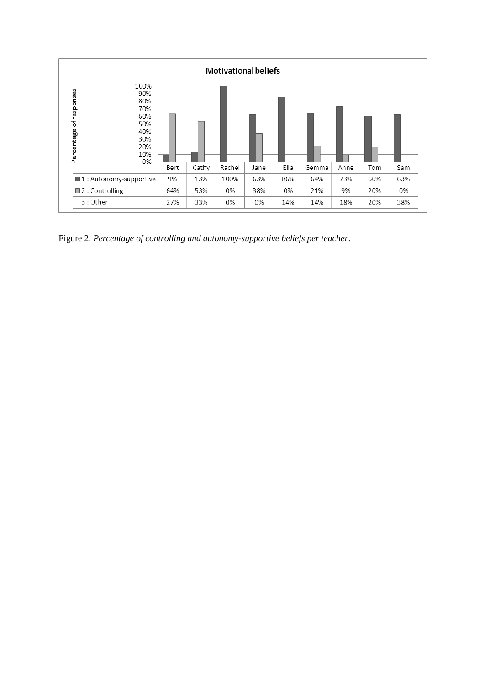

Figure 2. *Percentage of controlling and autonomy-supportive beliefs per teacher*.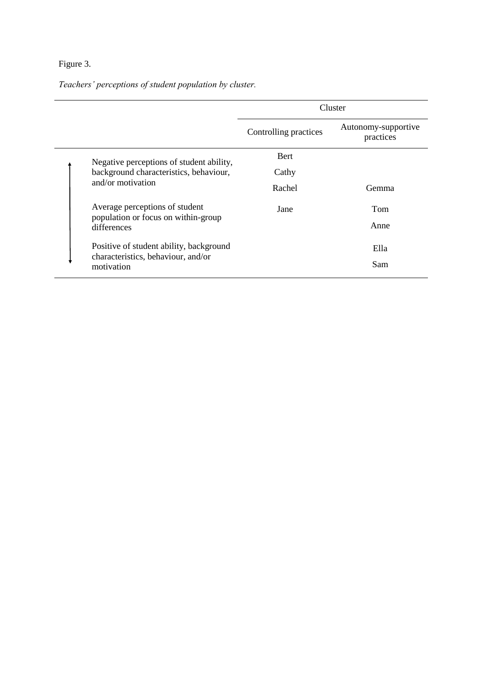## Figure 3.

*Teachers' perceptions of student population by cluster.*

|                                                    | Cluster               |                                  |
|----------------------------------------------------|-----------------------|----------------------------------|
|                                                    | Controlling practices | Autonomy-supportive<br>practices |
| Negative perceptions of student ability,           | <b>Bert</b>           |                                  |
| background characteristics, behaviour,             | Cathy                 |                                  |
| and/or motivation                                  | Rachel                | <b>Gemma</b>                     |
| Average perceptions of student                     | Jane                  | Tom                              |
| population or focus on within-group<br>differences |                       | Anne                             |
| Positive of student ability, background            |                       | Ella                             |
| characteristics, behaviour, and/or<br>motivation   |                       | Sam                              |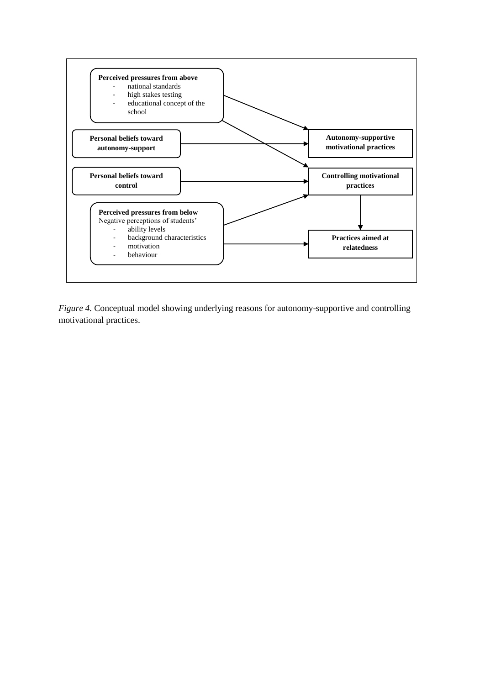

*Figure 4.* Conceptual model showing underlying reasons for autonomy-supportive and controlling motivational practices.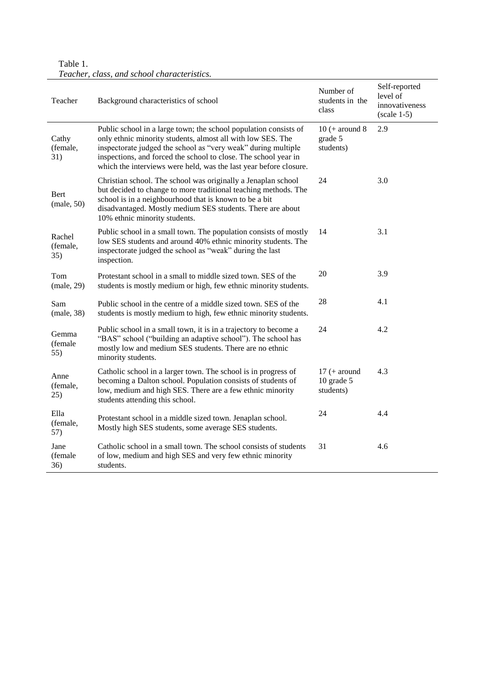| Table 1. |  |                                             |  |
|----------|--|---------------------------------------------|--|
|          |  | Teacher, class, and school characteristics. |  |

| Teacher                   | Background characteristics of school                                                                                                                                                                                                                                                                                                     | Number of<br>students in the<br>class         | Self-reported<br>level of<br>innovativeness<br>$(scale 1-5)$ |
|---------------------------|------------------------------------------------------------------------------------------------------------------------------------------------------------------------------------------------------------------------------------------------------------------------------------------------------------------------------------------|-----------------------------------------------|--------------------------------------------------------------|
| Cathy<br>(female,<br>31)  | Public school in a large town; the school population consists of<br>only ethnic minority students, almost all with low SES. The<br>inspectorate judged the school as "very weak" during multiple<br>inspections, and forced the school to close. The school year in<br>which the interviews were held, was the last year before closure. | $10 (+ around 8)$<br>grade 5<br>students)     | 2.9                                                          |
| Bert<br>(male, 50)        | Christian school. The school was originally a Jenaplan school<br>but decided to change to more traditional teaching methods. The<br>school is in a neighbourhood that is known to be a bit<br>disadvantaged. Mostly medium SES students. There are about<br>10% ethnic minority students.                                                | 24                                            | 3.0                                                          |
| Rachel<br>(female,<br>35) | Public school in a small town. The population consists of mostly<br>low SES students and around 40% ethnic minority students. The<br>inspectorate judged the school as "weak" during the last<br>inspection.                                                                                                                             | 14                                            | 3.1                                                          |
| Tom<br>(male, 29)         | Protestant school in a small to middle sized town. SES of the<br>students is mostly medium or high, few ethnic minority students.                                                                                                                                                                                                        | 20                                            | 3.9                                                          |
| Sam<br>(male, 38)         | Public school in the centre of a middle sized town. SES of the<br>students is mostly medium to high, few ethnic minority students.                                                                                                                                                                                                       | 28                                            | 4.1                                                          |
| Gemma<br>(female<br>55)   | Public school in a small town, it is in a trajectory to become a<br>"BAS" school ("building an adaptive school"). The school has<br>mostly low and medium SES students. There are no ethnic<br>minority students.                                                                                                                        | 24                                            | 4.2                                                          |
| Anne<br>(female,<br>25)   | Catholic school in a larger town. The school is in progress of<br>becoming a Dalton school. Population consists of students of<br>low, medium and high SES. There are a few ethnic minority<br>students attending this school.                                                                                                           | $17$ (+ around<br>$10$ grade $5$<br>students) | 4.3                                                          |
| Ella<br>(female,<br>57)   | Protestant school in a middle sized town. Jenaplan school.<br>Mostly high SES students, some average SES students.                                                                                                                                                                                                                       | 24                                            | 4.4                                                          |
| Jane<br>(female<br>36)    | Catholic school in a small town. The school consists of students<br>of low, medium and high SES and very few ethnic minority<br>students.                                                                                                                                                                                                | 31                                            | 4.6                                                          |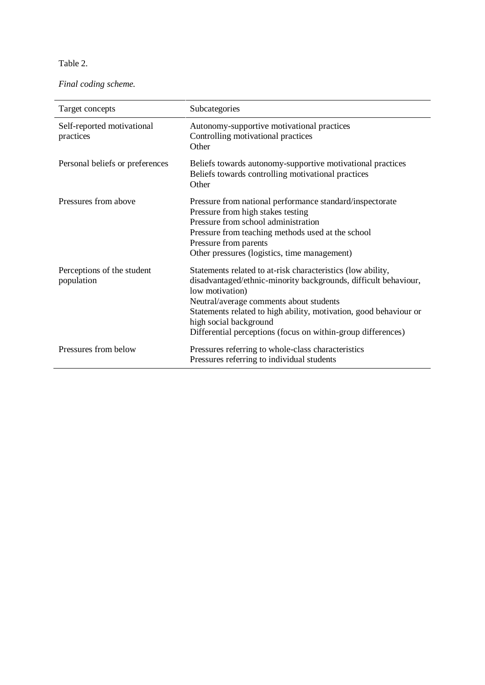Table 2.

*Final coding scheme.* 

| Target concepts                          | Subcategories                                                                                                                                                                                                                                                                                                                                               |
|------------------------------------------|-------------------------------------------------------------------------------------------------------------------------------------------------------------------------------------------------------------------------------------------------------------------------------------------------------------------------------------------------------------|
| Self-reported motivational<br>practices  | Autonomy-supportive motivational practices<br>Controlling motivational practices<br>Other                                                                                                                                                                                                                                                                   |
| Personal beliefs or preferences          | Beliefs towards autonomy-supportive motivational practices<br>Beliefs towards controlling motivational practices<br>Other                                                                                                                                                                                                                                   |
| Pressures from above                     | Pressure from national performance standard/inspectorate<br>Pressure from high stakes testing<br>Pressure from school administration<br>Pressure from teaching methods used at the school<br>Pressure from parents<br>Other pressures (logistics, time management)                                                                                          |
| Perceptions of the student<br>population | Statements related to at-risk characteristics (low ability,<br>disadvantaged/ethnic-minority backgrounds, difficult behaviour,<br>low motivation)<br>Neutral/average comments about students<br>Statements related to high ability, motivation, good behaviour or<br>high social background<br>Differential perceptions (focus on within-group differences) |
| Pressures from below                     | Pressures referring to whole-class characteristics<br>Pressures referring to individual students                                                                                                                                                                                                                                                            |